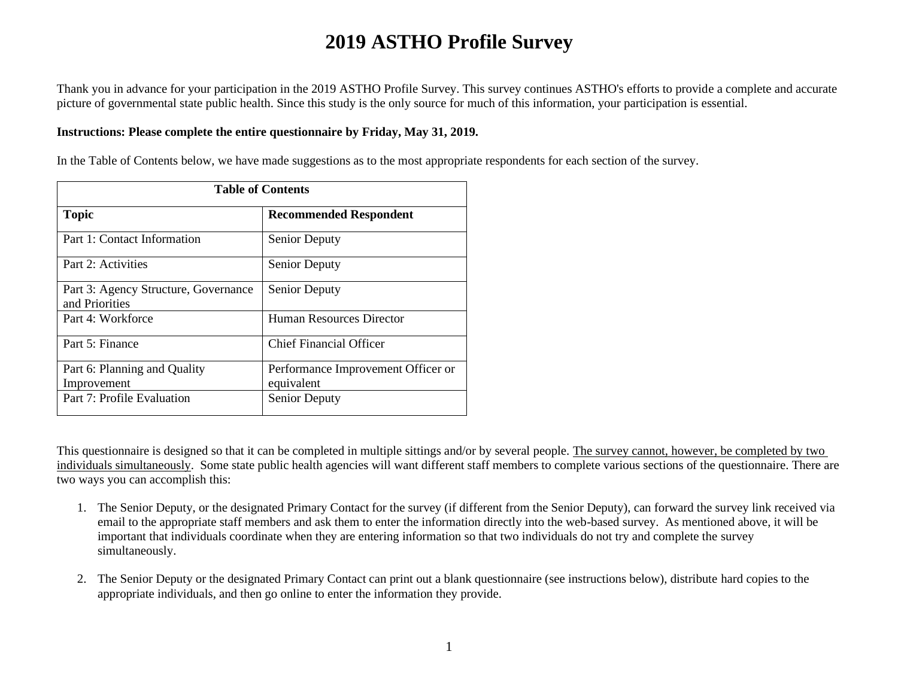Thank you in advance for your participation in the 2019 ASTHO Profile Survey. This survey continues ASTHO's efforts to provide a complete and accurate picture of governmental state public health. Since this study is the only source for much of this information, your participation is essential.

#### **Instructions: Please complete the entire questionnaire by Friday, May 31, 2019.**

In the Table of Contents below, we have made suggestions as to the most appropriate respondents for each section of the survey.

| <b>Table of Contents</b>                               |                                                  |
|--------------------------------------------------------|--------------------------------------------------|
| <b>Topic</b>                                           | <b>Recommended Respondent</b>                    |
| Part 1: Contact Information                            | <b>Senior Deputy</b>                             |
| Part 2: Activities                                     | Senior Deputy                                    |
| Part 3: Agency Structure, Governance<br>and Priorities | <b>Senior Deputy</b>                             |
| Part 4: Workforce                                      | <b>Human Resources Director</b>                  |
| Part 5: Finance                                        | <b>Chief Financial Officer</b>                   |
| Part 6: Planning and Quality<br>Improvement            | Performance Improvement Officer or<br>equivalent |
| Part 7: Profile Evaluation                             | Senior Deputy                                    |

This questionnaire is designed so that it can be completed in multiple sittings and/or by several people. The survey cannot, however, be completed by two individuals simultaneously. Some state public health agencies will want different staff members to complete various sections of the questionnaire. There are two ways you can accomplish this:

- 1. The Senior Deputy, or the designated Primary Contact for the survey (if different from the Senior Deputy), can forward the survey link received via email to the appropriate staff members and ask them to enter the information directly into the web-based survey. As mentioned above, it will be important that individuals coordinate when they are entering information so that two individuals do not try and complete the survey simultaneously.
- 2. The Senior Deputy or the designated Primary Contact can print out a blank questionnaire (see instructions below), distribute hard copies to the appropriate individuals, and then go online to enter the information they provide.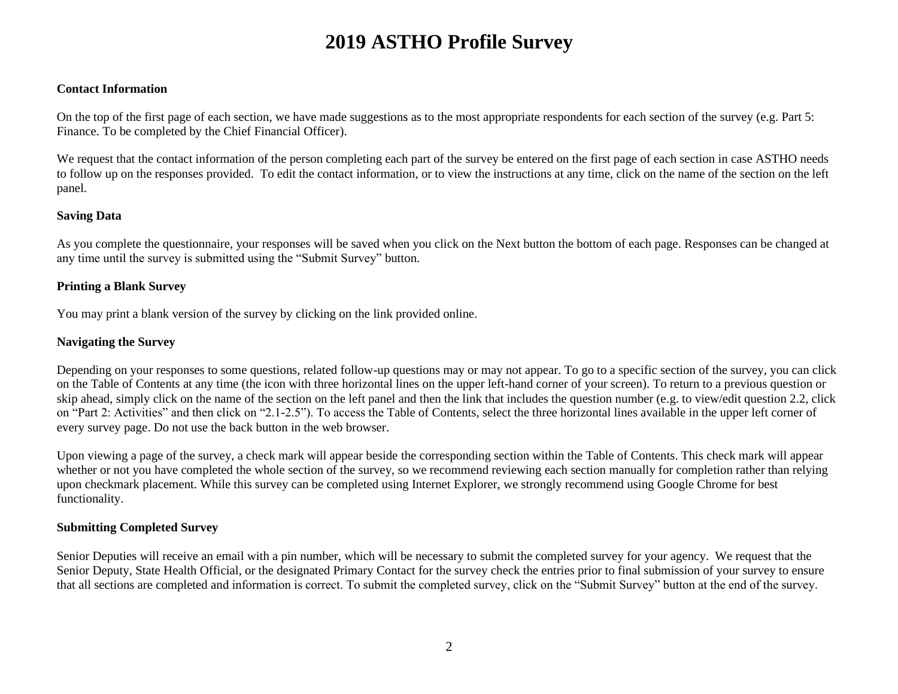#### **Contact Information**

On the top of the first page of each section, we have made suggestions as to the most appropriate respondents for each section of the survey (e.g. Part 5: Finance. To be completed by the Chief Financial Officer).

We request that the contact information of the person completing each part of the survey be entered on the first page of each section in case ASTHO needs to follow up on the responses provided. To edit the contact information, or to view the instructions at any time, click on the name of the section on the left panel.

#### **Saving Data**

As you complete the questionnaire, your responses will be saved when you click on the Next button the bottom of each page. Responses can be changed at any time until the survey is submitted using the "Submit Survey" button.

#### **Printing a Blank Survey**

You may print a blank version of the survey by clicking on the link provided online.

#### **Navigating the Survey**

Depending on your responses to some questions, related follow-up questions may or may not appear. To go to a specific section of the survey, you can click on the Table of Contents at any time (the icon with three horizontal lines on the upper left-hand corner of your screen). To return to a previous question or skip ahead, simply click on the name of the section on the left panel and then the link that includes the question number (e.g. to view/edit question 2.2, click on "Part 2: Activities" and then click on "2.1-2.5"). To access the Table of Contents, select the three horizontal lines available in the upper left corner of every survey page. Do not use the back button in the web browser.

Upon viewing a page of the survey, a check mark will appear beside the corresponding section within the Table of Contents. This check mark will appear whether or not you have completed the whole section of the survey, so we recommend reviewing each section manually for completion rather than relying upon checkmark placement. While this survey can be completed using Internet Explorer, we strongly recommend using Google Chrome for best functionality.

#### **Submitting Completed Survey**

Senior Deputies will receive an email with a pin number, which will be necessary to submit the completed survey for your agency. We request that the Senior Deputy, State Health Official, or the designated Primary Contact for the survey check the entries prior to final submission of your survey to ensure that all sections are completed and information is correct. To submit the completed survey, click on the "Submit Survey" button at the end of the survey.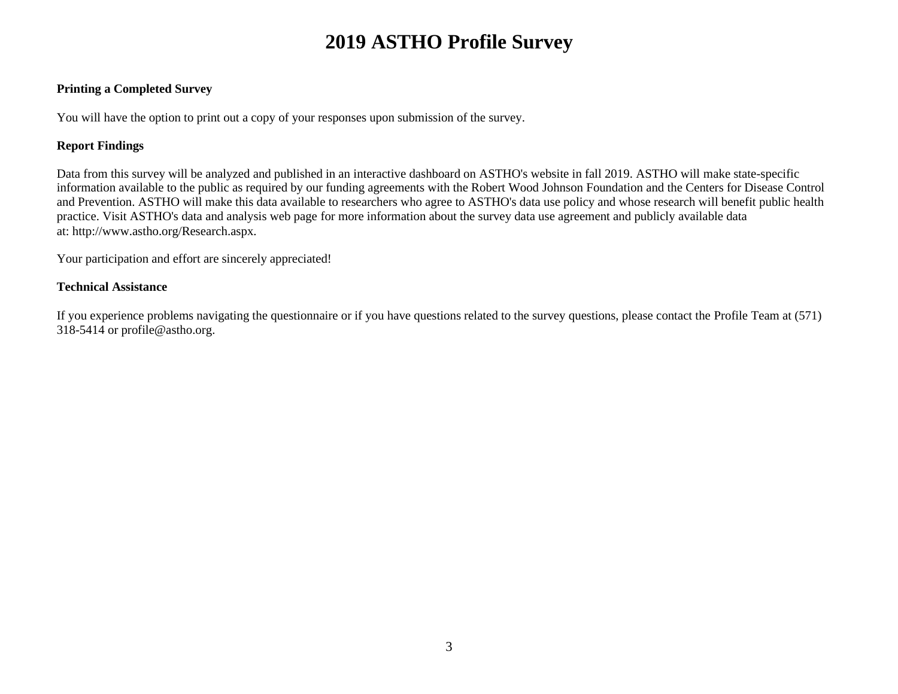#### **Printing a Completed Survey**

You will have the option to print out a copy of your responses upon submission of the survey.

#### **Report Findings**

Data from this survey will be analyzed and published in an interactive dashboard on ASTHO's website in fall 2019. ASTHO will make state-specific information available to the public as required by our funding agreements with the Robert Wood Johnson Foundation and the Centers for Disease Control and Prevention. ASTHO will make this data available to researchers who agree to ASTHO's data use policy and whose research will benefit public health practice. Visit ASTHO's data and analysis web page for more information about the survey data use agreement and publicly available data at: http://www.astho.org/Research.aspx.

Your participation and effort are sincerely appreciated!

#### **Technical Assistance**

If you experience problems navigating the questionnaire or if you have questions related to the survey questions, please contact the Profile Team at (571) 318-5414 or profile@astho.org.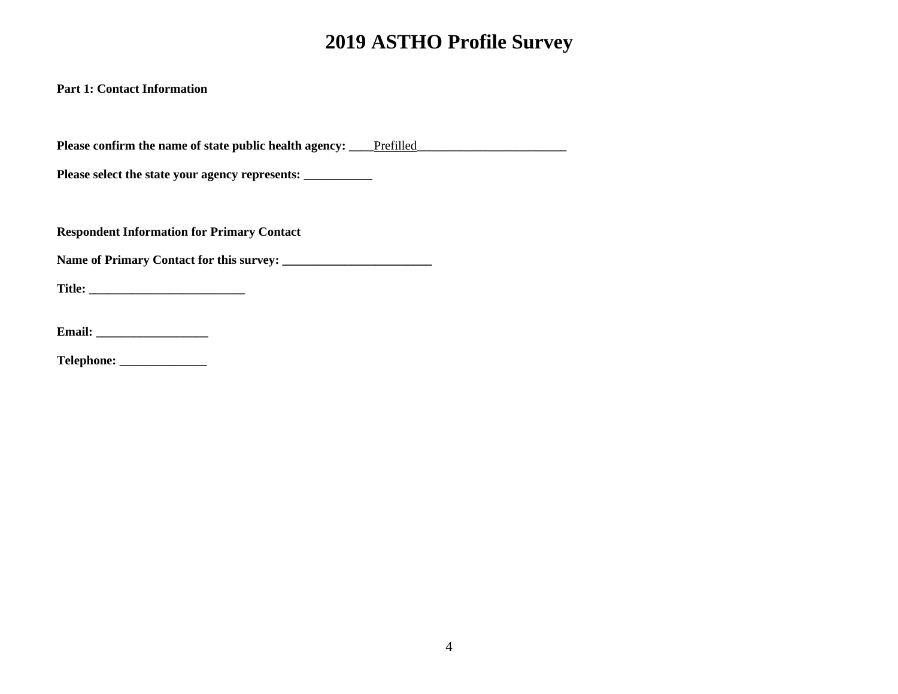**Part 1: Contact Information**

Please confirm the name of state public health agency: <u>Prefilled</u>

**Please select the state your agency represents: \_\_\_\_\_\_\_\_\_\_\_**

**Respondent Information for Primary Contact**

**Name of Primary Contact for this survey: \_\_\_\_\_\_\_\_\_\_\_\_\_\_\_\_\_\_\_\_\_\_\_\_**

**Title: \_\_\_\_\_\_\_\_\_\_\_\_\_\_\_\_\_\_\_\_\_\_\_\_\_**

**Email: \_\_\_\_\_\_\_\_\_\_\_\_\_\_\_\_\_\_**

**Telephone: \_\_\_\_\_\_\_\_\_\_\_\_\_\_**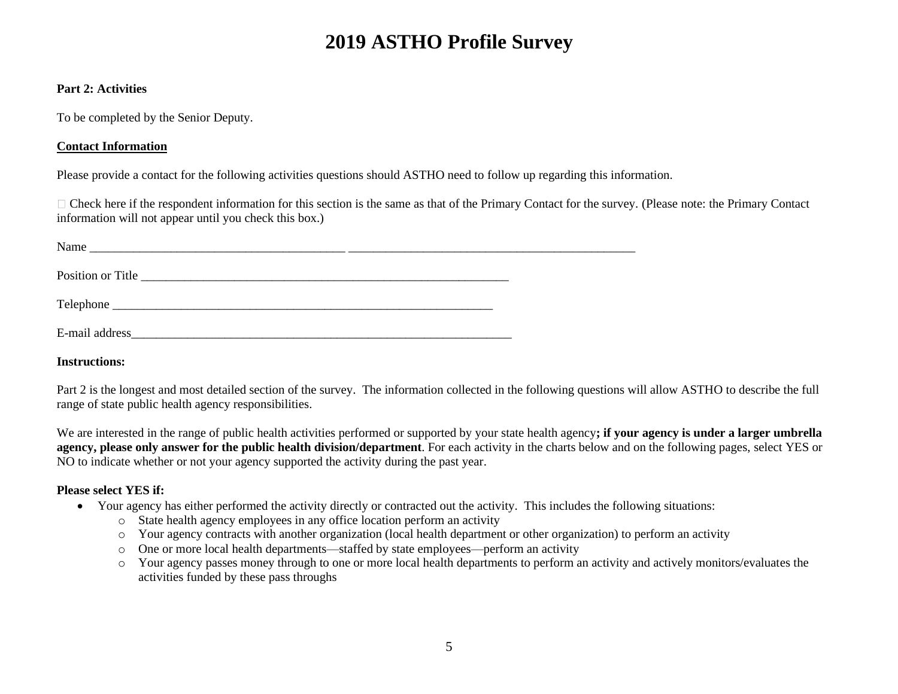#### **Part 2: Activities**

To be completed by the Senior Deputy.

### **Contact Information**

Please provide a contact for the following activities questions should ASTHO need to follow up regarding this information.

 $\Box$  Check here if the respondent information for this section is the same as that of the Primary Contact for the survey. (Please note: the Primary Contact information will not appear until you check this box.)

| Name              |  |
|-------------------|--|
| Position or Title |  |
|                   |  |
| E-mail address    |  |

**Instructions:** 

Part 2 is the longest and most detailed section of the survey. The information collected in the following questions will allow ASTHO to describe the full range of state public health agency responsibilities.

We are interested in the range of public health activities performed or supported by your state health agency**; if your agency is under a larger umbrella agency, please only answer for the public health division/department**. For each activity in the charts below and on the following pages, select YES or NO to indicate whether or not your agency supported the activity during the past year.

### **Please select YES if:**

- Your agency has either performed the activity directly or contracted out the activity. This includes the following situations:
	- o State health agency employees in any office location perform an activity
	- o Your agency contracts with another organization (local health department or other organization) to perform an activity
	- o One or more local health departments—staffed by state employees—perform an activity
	- o Your agency passes money through to one or more local health departments to perform an activity and actively monitors/evaluates the activities funded by these pass throughs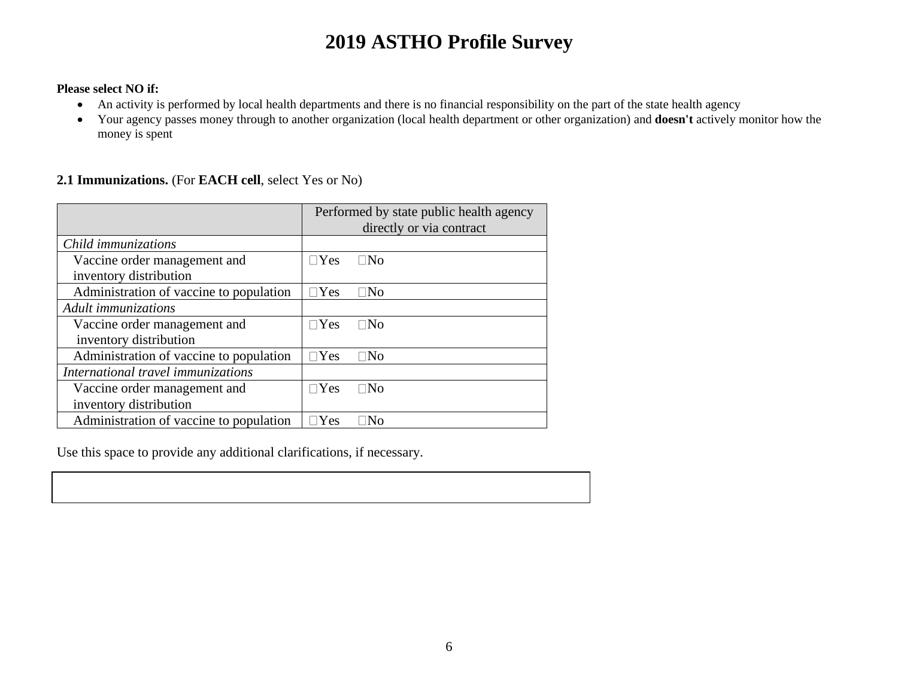#### **Please select NO if:**

- An activity is performed by local health departments and there is no financial responsibility on the part of the state health agency
- Your agency passes money through to another organization (local health department or other organization) and **doesn't** actively monitor how the money is spent

### **2.1 Immunizations.** (For **EACH cell**, select Yes or No)

|                                         | Performed by state public health agency<br>directly or via contract |
|-----------------------------------------|---------------------------------------------------------------------|
| Child immunizations                     |                                                                     |
| Vaccine order management and            | $\Box$ Yes<br>$\Box$ No                                             |
| inventory distribution                  |                                                                     |
| Administration of vaccine to population | $\sqcap$ Yes<br>$\Box$ No                                           |
| Adult immunizations                     |                                                                     |
| Vaccine order management and            | $\sqcap$ Yes<br>$\Box$ No                                           |
| inventory distribution                  |                                                                     |
| Administration of vaccine to population | $\Box$ Yes<br>$\Box$ No                                             |
| International travel immunizations      |                                                                     |
| Vaccine order management and            | Yes<br>$\Box$ No                                                    |
| inventory distribution                  |                                                                     |
| Administration of vaccine to population | Yes<br>Nο                                                           |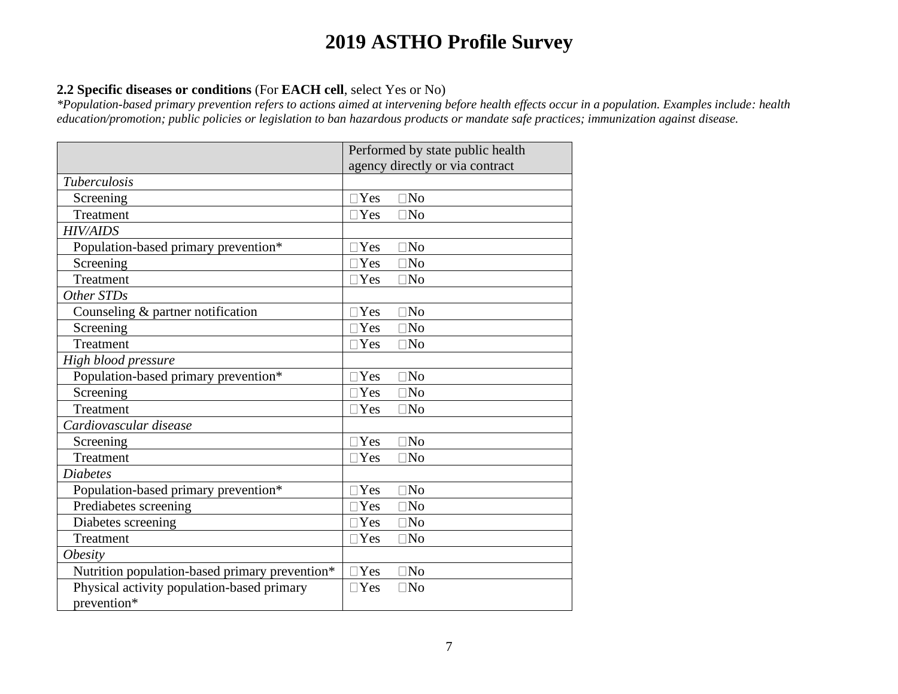### **2.2 Specific diseases or conditions** (For **EACH cell**, select Yes or No)

*\*Population-based primary prevention refers to actions aimed at intervening before health effects occur in a population. Examples include: health education/promotion; public policies or legislation to ban hazardous products or mandate safe practices; immunization against disease.*

|                                                | Performed by state public health |
|------------------------------------------------|----------------------------------|
|                                                | agency directly or via contract  |
| <b>Tuberculosis</b>                            |                                  |
| Screening                                      | $\square$ Yes<br>$\square$ No    |
| Treatment                                      | $\Box$ Yes<br>$\Box$ No          |
| <b>HIV/AIDS</b>                                |                                  |
| Population-based primary prevention*           | <b>No</b><br>Yes                 |
| Screening                                      | $\Box$ Yes<br>$\square$ No       |
| Treatment                                      | $\Box$ Yes<br>$\square$ No       |
| Other STDs                                     |                                  |
| Counseling $&$ partner notification            | $\square$ Yes<br>$\square$ No    |
| Screening                                      | $\square$ Yes<br>$\square$ No    |
| Treatment                                      | $\Box$ Yes<br>$\square$ No       |
| High blood pressure                            |                                  |
| Population-based primary prevention*           | $\Box$ Yes<br>$\Box$ No          |
| Screening                                      | $\square$ No<br>$\Box$ Yes       |
| Treatment                                      | $\Box$ No<br>$\Box$ Yes          |
| Cardiovascular disease                         |                                  |
| Screening                                      | Yes<br>$\Box$ No                 |
| Treatment                                      | $\Box$ No<br>$\Box$ Yes          |
| <b>Diabetes</b>                                |                                  |
| Population-based primary prevention*           | $\Box$ Yes<br>$\Box$ No          |
| Prediabetes screening                          | $\Box$ Yes<br>$\square$ No       |
| Diabetes screening                             | $\Box$ Yes<br>$\square$ No       |
| Treatment                                      | $\Box$ Yes<br>$\square$ No       |
| <i><b>Obesity</b></i>                          |                                  |
| Nutrition population-based primary prevention* | $\Box$ Yes<br>$\Box$ No          |
| Physical activity population-based primary     | $\Box$ Yes<br>$\Box$ No          |
| prevention*                                    |                                  |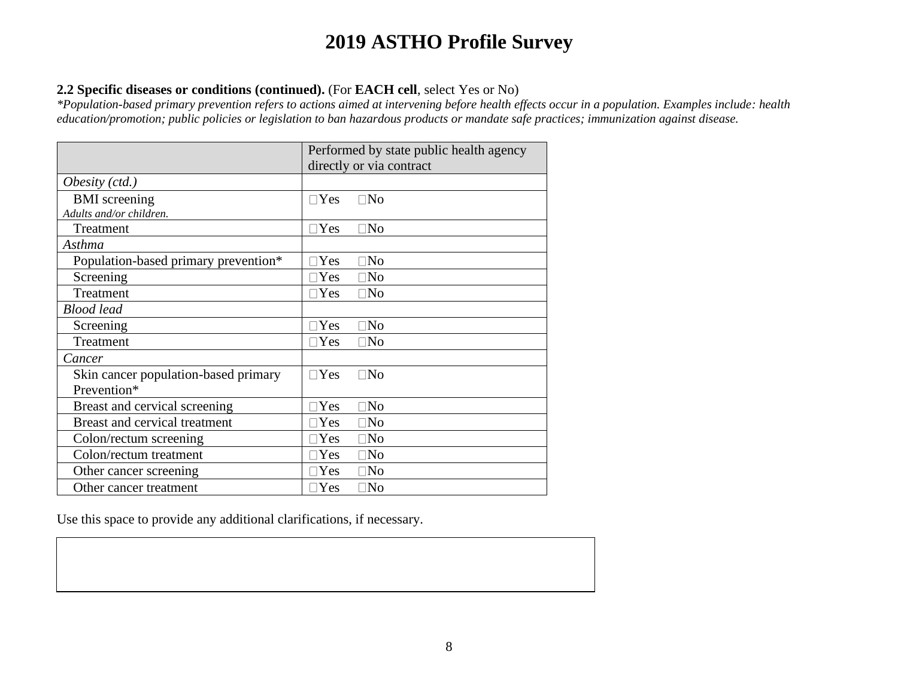### **2.2 Specific diseases or conditions (continued).** (For **EACH cell**, select Yes or No)

*\*Population-based primary prevention refers to actions aimed at intervening before health effects occur in a population. Examples include: health education/promotion; public policies or legislation to ban hazardous products or mandate safe practices; immunization against disease.*

|                                      | Performed by state public health agency |
|--------------------------------------|-----------------------------------------|
|                                      | directly or via contract                |
| Obesity $(ctd.)$                     |                                         |
| <b>BMI</b> screening                 | $\Box$ No<br>$\Box$ Yes                 |
| Adults and/or children.              |                                         |
| Treatment                            | $\sqcap$ Yes<br>$\Box$ No               |
| Asthma                               |                                         |
| Population-based primary prevention* | $\square$ No<br>Yes                     |
| Screening                            | Yes<br>$\square$ No                     |
| Treatment                            | $\exists$ Yes<br>$\square$ No           |
| <b>Blood</b> lead                    |                                         |
| Screening                            | $\square$ No<br>$\exists$ Yes           |
| Treatment                            | $\square$ Yes<br>$\square$ No           |
| Cancer                               |                                         |
| Skin cancer population-based primary | $\Box$ Yes<br>$\square$ No              |
| Prevention*                          |                                         |
| Breast and cervical screening        | Yes<br>$\square$ No                     |
| Breast and cervical treatment        | $\square$ No<br>Yes                     |
| Colon/rectum screening               | Yes<br>$\square$ No                     |
| Colon/rectum treatment               | $\exists$ Yes<br>$\square$ No           |
| Other cancer screening               | $\Box$ No<br>Yes                        |
| Other cancer treatment               | $\exists$ Yes<br>$\square$ No           |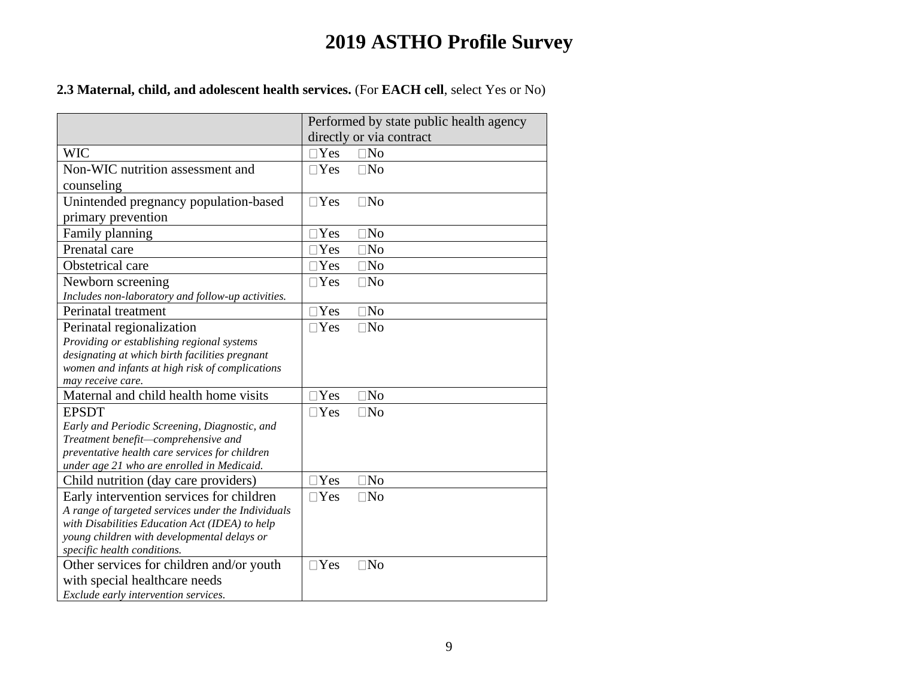**2.3 Maternal, child, and adolescent health services.** (For **EACH cell**, select Yes or No)

|                                                                      | Performed by state public health agency |
|----------------------------------------------------------------------|-----------------------------------------|
|                                                                      | directly or via contract                |
| <b>WIC</b>                                                           | $\Box$ Yes<br>$\square$ No              |
| Non-WIC nutrition assessment and                                     | $\Box$ Yes<br>$\Box$ No                 |
| counseling                                                           |                                         |
| Unintended pregnancy population-based                                | $\Box$ Yes<br>$\Box$ No                 |
| primary prevention                                                   |                                         |
| Family planning                                                      | $\square$ No<br>Yes                     |
| Prenatal care                                                        | Yes<br>$\square$ No                     |
| Obstetrical care                                                     | Yes<br>$\square$ No                     |
| Newborn screening                                                    | $\Box$ Yes<br>$\square$ No              |
| Includes non-laboratory and follow-up activities.                    |                                         |
| Perinatal treatment                                                  | $\Box$ Yes<br>$\square$ No              |
| Perinatal regionalization                                            | $\square$ Yes<br>$\square$ No           |
| Providing or establishing regional systems                           |                                         |
| designating at which birth facilities pregnant                       |                                         |
| women and infants at high risk of complications<br>may receive care. |                                         |
| Maternal and child health home visits                                | $\Box$ Yes<br>$\square$ No              |
| <b>EPSDT</b>                                                         | $\square$ Yes<br>$\square$ No           |
| Early and Periodic Screening, Diagnostic, and                        |                                         |
| Treatment benefit-comprehensive and                                  |                                         |
| preventative health care services for children                       |                                         |
| under age 21 who are enrolled in Medicaid.                           |                                         |
| Child nutrition (day care providers)                                 | Yes<br>$\square$ No                     |
| Early intervention services for children                             | Yes<br>$\square$ No                     |
| A range of targeted services under the Individuals                   |                                         |
| with Disabilities Education Act (IDEA) to help                       |                                         |
| young children with developmental delays or                          |                                         |
| specific health conditions.                                          |                                         |
| Other services for children and/or youth                             | $\Box$ Yes<br>$\square$ No              |
| with special healthcare needs                                        |                                         |
| Exclude early intervention services.                                 |                                         |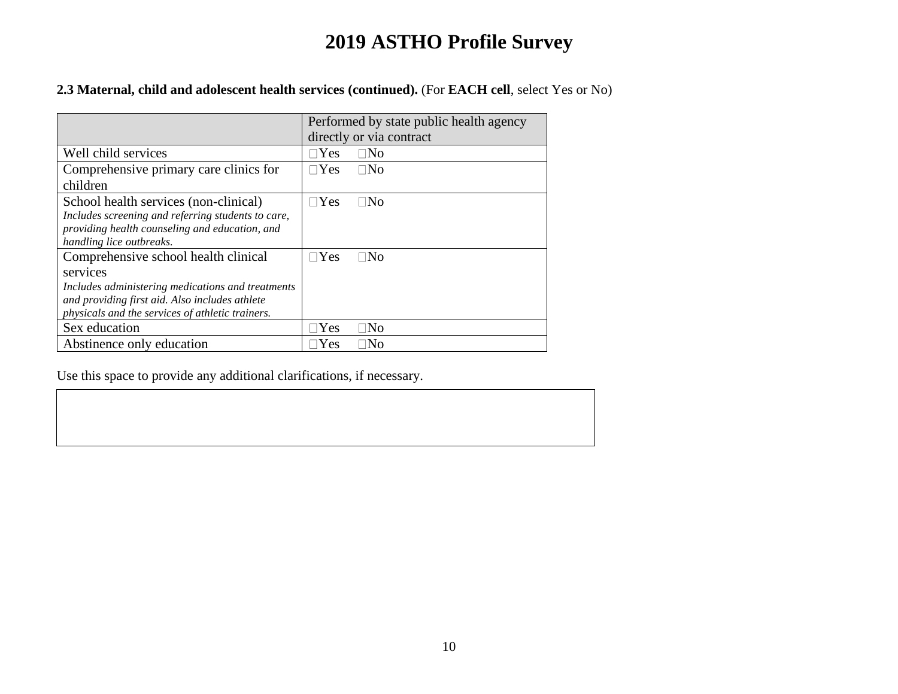### **2.3 Maternal, child and adolescent health services (continued).** (For **EACH cell**, select Yes or No)

|                                                                                                                                                                                                             | Performed by state public health agency<br>directly or via contract |
|-------------------------------------------------------------------------------------------------------------------------------------------------------------------------------------------------------------|---------------------------------------------------------------------|
| Well child services                                                                                                                                                                                         | $\Box$ Yes<br>$\Box$ No                                             |
| Comprehensive primary care clinics for<br>children                                                                                                                                                          | $\Box$ Yes<br>$\Box$ No                                             |
| School health services (non-clinical)<br>Includes screening and referring students to care,<br>providing health counseling and education, and<br>handling lice outbreaks.                                   | $\Box$ Yes<br>⊟No                                                   |
| Comprehensive school health clinical<br>services<br>Includes administering medications and treatments<br>and providing first aid. Also includes athlete<br>physicals and the services of athletic trainers. | $\square$ Yes<br>∏No                                                |
| Sex education                                                                                                                                                                                               | Yes<br>™o                                                           |
| Abstinence only education                                                                                                                                                                                   | Yes<br>INo                                                          |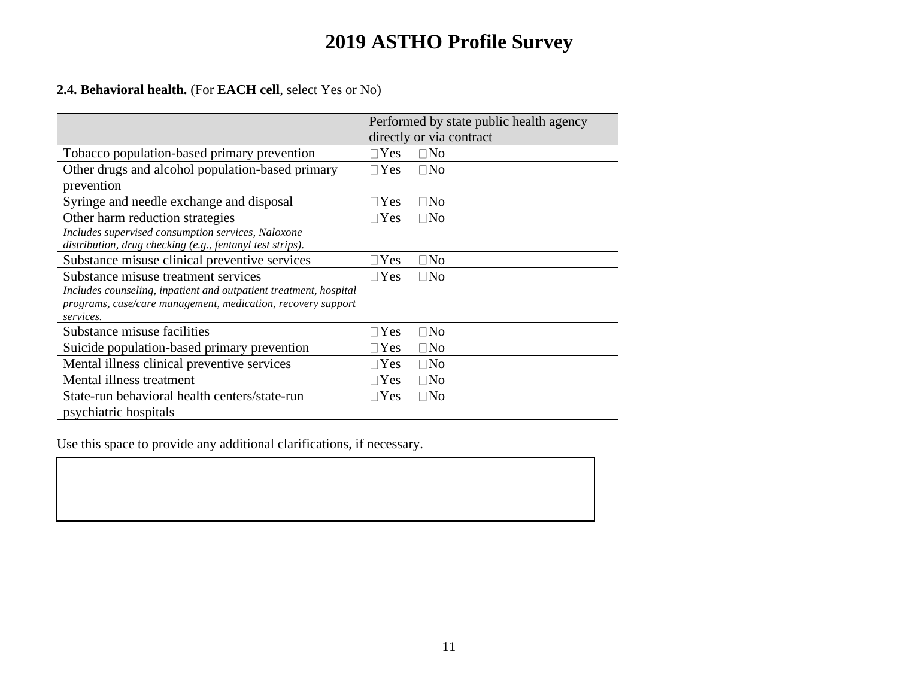### **2.4. Behavioral health.** (For **EACH cell**, select Yes or No)

|                                                                                                                                                                                       | Performed by state public health agency<br>directly or via contract |
|---------------------------------------------------------------------------------------------------------------------------------------------------------------------------------------|---------------------------------------------------------------------|
| Tobacco population-based primary prevention                                                                                                                                           | $\Box$ Yes<br>$\square$ No                                          |
| Other drugs and alcohol population-based primary<br>prevention                                                                                                                        | $\Box$ No<br>$\Box$ Yes                                             |
| Syringe and needle exchange and disposal                                                                                                                                              | $\square$ No<br>$\Box$ Yes                                          |
| Other harm reduction strategies                                                                                                                                                       | $\square$ No<br>$\Box$ Yes                                          |
| Includes supervised consumption services, Naloxone<br>distribution, drug checking (e.g., fentanyl test strips).                                                                       |                                                                     |
| Substance misuse clinical preventive services                                                                                                                                         | $\square$ No<br>$\Box$ Yes                                          |
| Substance misuse treatment services<br>Includes counseling, inpatient and outpatient treatment, hospital<br>programs, case/care management, medication, recovery support<br>services. | $\Box$ Yes<br>$\Box$ No                                             |
| Substance misuse facilities                                                                                                                                                           | $\square$ No<br>$\Box$ Yes                                          |
| Suicide population-based primary prevention                                                                                                                                           | $\square$ No<br>$\Box$ Yes                                          |
| Mental illness clinical preventive services                                                                                                                                           | $\Box$ Yes<br>$\square$ No                                          |
| Mental illness treatment                                                                                                                                                              | $\Box$ Yes<br>$\square$ No                                          |
| State-run behavioral health centers/state-run<br>psychiatric hospitals                                                                                                                | $\Box$ No<br>$\Box$ Yes                                             |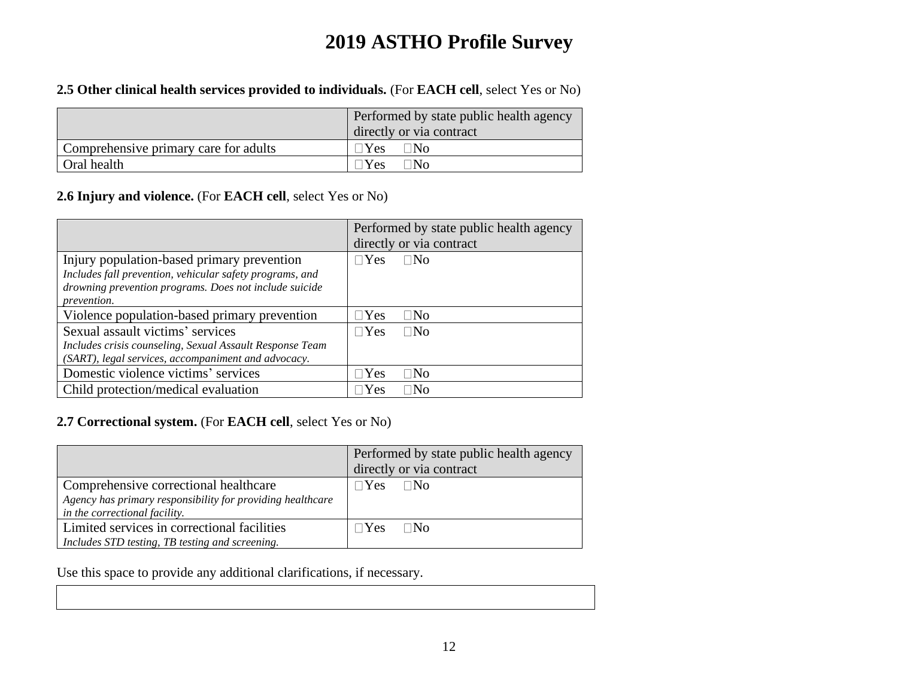### **2.5 Other clinical health services provided to individuals.** (For **EACH cell**, select Yes or No)

|                                       | Performed by state public health agency |
|---------------------------------------|-----------------------------------------|
|                                       | directly or via contract                |
| Comprehensive primary care for adults | $\neg$ Yes<br>∃No                       |
| Oral health                           | $\Box$ Yes<br>∃No                       |

### **2.6 Injury and violence.** (For **EACH cell**, select Yes or No)

|                                                          | Performed by state public health agency |
|----------------------------------------------------------|-----------------------------------------|
|                                                          | directly or via contract                |
| Injury population-based primary prevention               | $\sqcap$ Yes<br>$\Box$ No               |
| Includes fall prevention, vehicular safety programs, and |                                         |
| drowning prevention programs. Does not include suicide   |                                         |
| prevention.                                              |                                         |
| Violence population-based primary prevention             | $\exists$ Yes<br>$\Box$ No              |
| Sexual assault victims' services                         | $\Box$ Yes<br>$\Box$ No                 |
| Includes crisis counseling, Sexual Assault Response Team |                                         |
| (SART), legal services, accompaniment and advocacy.      |                                         |
| Domestic violence victims' services                      | $\exists$ Yes<br>$\Box$ No              |
| Child protection/medical evaluation                      | $\exists$ Yes<br>$\square$ No           |

### **2.7 Correctional system.** (For **EACH cell**, select Yes or No)

|                                                            | Performed by state public health agency<br>directly or via contract |
|------------------------------------------------------------|---------------------------------------------------------------------|
| Comprehensive correctional healthcare                      | $\sqcap$ Yes<br>$\Box$ No                                           |
| Agency has primary responsibility for providing healthcare |                                                                     |
| in the correctional facility.                              |                                                                     |
| Limited services in correctional facilities                | $\Box$ Yes $\Box$ No                                                |
| Includes STD testing, TB testing and screening.            |                                                                     |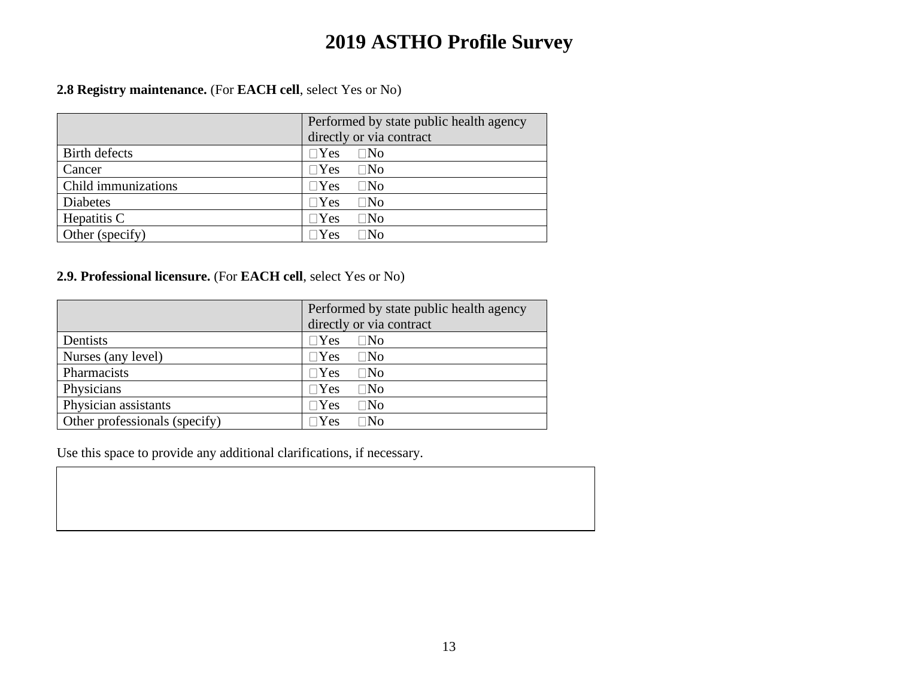### **2.8 Registry maintenance.** (For **EACH cell**, select Yes or No)

|                     | Performed by state public health agency<br>directly or via contract |
|---------------------|---------------------------------------------------------------------|
| Birth defects       | $\Box$ Yes<br>$\Box$ No                                             |
| Cancer              | $\Box$ Yes<br>$\Box$ No                                             |
| Child immunizations | $\Box$ Yes<br>$\square$ No                                          |
| Diabetes            | $\Box$ Yes<br>$\square$ No                                          |
| Hepatitis C         | $\Box$ Yes<br>$\Box$ No                                             |
| Other (specify)     | $\Box$ Yes<br>$\exists\mathrm{No}$                                  |

### **2.9. Professional licensure.** (For **EACH cell**, select Yes or No)

|                               | Performed by state public health agency |  |
|-------------------------------|-----------------------------------------|--|
|                               | directly or via contract                |  |
| Dentists                      | $\Box$ Yes<br>$\Box$ No                 |  |
| Nurses (any level)            | $\Box$ Yes<br>$\Box$ No                 |  |
| Pharmacists                   | $\Box$ Yes<br>$\square$ No              |  |
| Physicians                    | $\Box$ Yes<br>$\square$ No              |  |
| Physician assistants          | $\Box$ Yes<br>$\square$ No              |  |
| Other professionals (specify) | $\Box$ Yes<br>$\Box\mathrm{No}$         |  |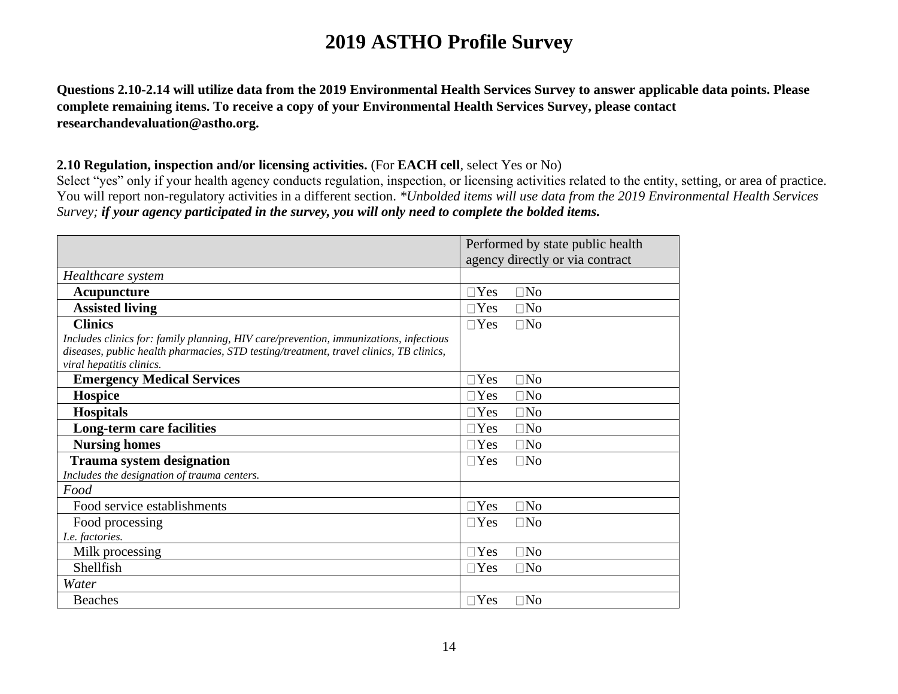**Questions 2.10-2.14 will utilize data from the 2019 Environmental Health Services Survey to answer applicable data points. Please complete remaining items. To receive a copy of your Environmental Health Services Survey, please contact researchandevaluation@astho.org.**

### **2.10 Regulation, inspection and/or licensing activities.** (For **EACH cell**, select Yes or No)

Select "yes" only if your health agency conducts regulation, inspection, or licensing activities related to the entity, setting, or area of practice. You will report non-regulatory activities in a different section. *\*Unbolded items will use data from the 2019 Environmental Health Services Survey; if your agency participated in the survey, you will only need to complete the bolded items.*

|                                                                                        | Performed by state public health |
|----------------------------------------------------------------------------------------|----------------------------------|
|                                                                                        | agency directly or via contract  |
| Healthcare system                                                                      |                                  |
| Acupuncture                                                                            | $\Box$ No<br>$\square$ Yes       |
| <b>Assisted living</b>                                                                 | $\Box$ No<br>$\exists$ Yes       |
| <b>Clinics</b>                                                                         | $\Box$ No<br>$\Box$ Yes          |
| Includes clinics for: family planning, HIV care/prevention, immunizations, infectious  |                                  |
| diseases, public health pharmacies, STD testing/treatment, travel clinics, TB clinics, |                                  |
| viral hepatitis clinics.                                                               |                                  |
| <b>Emergency Medical Services</b>                                                      | $\Box$ No<br>$\Box$ Yes          |
| <b>Hospice</b>                                                                         | $\Box$ No<br>$\Box$ Yes          |
| <b>Hospitals</b>                                                                       | $\Box$ No<br>$\Box$ Yes          |
| Long-term care facilities                                                              | $\Box$ No<br>$\Box$ Yes          |
| <b>Nursing homes</b>                                                                   | $\square$ No<br>$\Box$ Yes       |
| <b>Trauma system designation</b>                                                       | $\Box$ No<br>$\Box$ Yes          |
| Includes the designation of trauma centers.                                            |                                  |
| Food                                                                                   |                                  |
| Food service establishments                                                            | $\Box$ No<br>$\Box$ Yes          |
| Food processing                                                                        | $\Box$ No<br>$\Box$ Yes          |
| I.e. factories.                                                                        |                                  |
| Milk processing                                                                        | $\Box$ No<br>$\Box$ Yes          |
| Shellfish                                                                              | $\Box$ No<br>$\exists$ Yes       |
| Water                                                                                  |                                  |
| <b>Beaches</b>                                                                         | $\Box$ No<br>$\Box$ Yes          |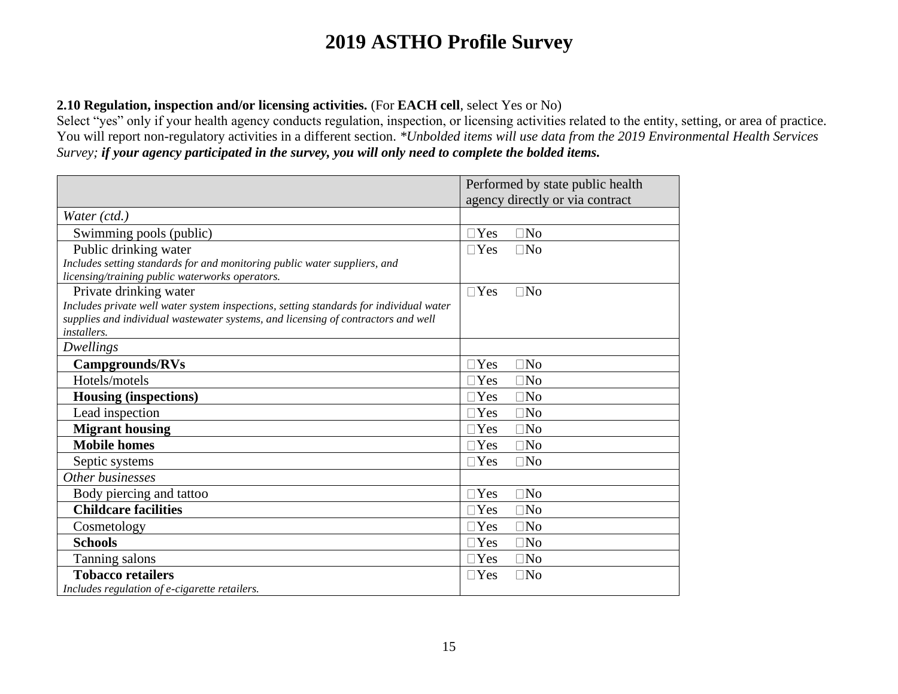### **2.10 Regulation, inspection and/or licensing activities.** (For **EACH cell**, select Yes or No)

Select "yes" only if your health agency conducts regulation, inspection, or licensing activities related to the entity, setting, or area of practice. You will report non-regulatory activities in a different section. *\*Unbolded items will use data from the 2019 Environmental Health Services Survey; if your agency participated in the survey, you will only need to complete the bolded items.*

|                                                                                        | Performed by state public health |
|----------------------------------------------------------------------------------------|----------------------------------|
|                                                                                        | agency directly or via contract  |
| Water (ctd.)                                                                           |                                  |
| Swimming pools (public)                                                                | $\Box$ Yes<br>$\square$ No       |
| Public drinking water                                                                  | $\Box$ Yes<br>$\Box$ No          |
| Includes setting standards for and monitoring public water suppliers, and              |                                  |
| licensing/training public waterworks operators.                                        |                                  |
| Private drinking water                                                                 | $\Box$ Yes<br>$\Box$ No          |
| Includes private well water system inspections, setting standards for individual water |                                  |
| supplies and individual wastewater systems, and licensing of contractors and well      |                                  |
| <i>installers.</i>                                                                     |                                  |
| <b>Dwellings</b>                                                                       |                                  |
| <b>Campgrounds/RVs</b>                                                                 | $\Box$ Yes<br>$\Box$ No          |
| Hotels/motels                                                                          | $\Box$ Yes<br>$\Box$ No          |
| <b>Housing (inspections)</b>                                                           | $\Box$ No<br>$\Box$ Yes          |
| Lead inspection                                                                        | $\Box$ Yes<br>$\Box$ No          |
| <b>Migrant housing</b>                                                                 | $\Box$ Yes<br>$\Box$ No          |
| <b>Mobile homes</b>                                                                    | $\Box$ Yes<br>$\square$ No       |
| Septic systems                                                                         | $\Box$ Yes<br>$\Box$ No          |
| Other businesses                                                                       |                                  |
| Body piercing and tattoo                                                               | $\Box$ No<br>$\Box$ Yes          |
| <b>Childcare facilities</b>                                                            | $\Box$ Yes<br>$\square$ No       |
| Cosmetology                                                                            | $\Box$ Yes<br>$\square$ No       |
| <b>Schools</b>                                                                         | $\Box$ No<br>$\Box$ Yes          |
| Tanning salons                                                                         | $\Box$ Yes<br>$\square$ No       |
| <b>Tobacco retailers</b>                                                               | $\Box$ No<br>$\Box$ Yes          |
| Includes regulation of e-cigarette retailers.                                          |                                  |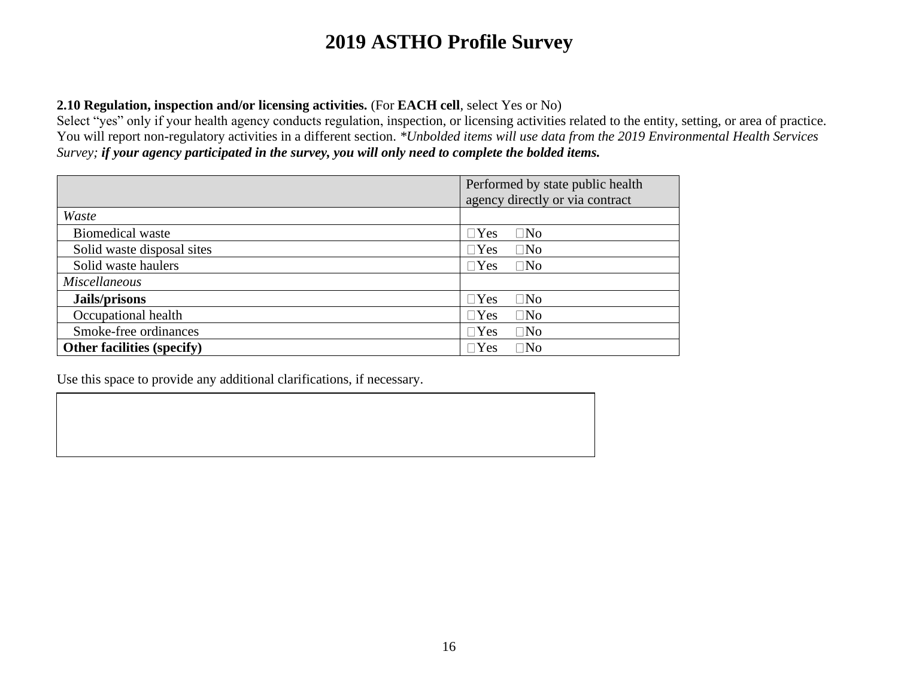### **2.10 Regulation, inspection and/or licensing activities.** (For **EACH cell**, select Yes or No)

Select "yes" only if your health agency conducts regulation, inspection, or licensing activities related to the entity, setting, or area of practice. You will report non-regulatory activities in a different section. *\*Unbolded items will use data from the 2019 Environmental Health Services Survey; if your agency participated in the survey, you will only need to complete the bolded items.*

|                                   | Performed by state public health |  |
|-----------------------------------|----------------------------------|--|
|                                   | agency directly or via contract  |  |
| Waste                             |                                  |  |
| <b>Biomedical waste</b>           | $\Box$ Yes<br>$\square$ No       |  |
| Solid waste disposal sites        | $\square$ No<br>$\Box$ Yes       |  |
| Solid waste haulers               | $\Box$ Yes<br>$\square$ No       |  |
| <i>Miscellaneous</i>              |                                  |  |
| Jails/prisons                     | $\Box$ Yes<br>$\square$ No       |  |
| Occupational health               | $\square$ No<br>$\Box$ Yes       |  |
| Smoke-free ordinances             | $\square$ No<br>$\Box$ Yes       |  |
| <b>Other facilities (specify)</b> | $\square$ No<br>$\Box$ Yes       |  |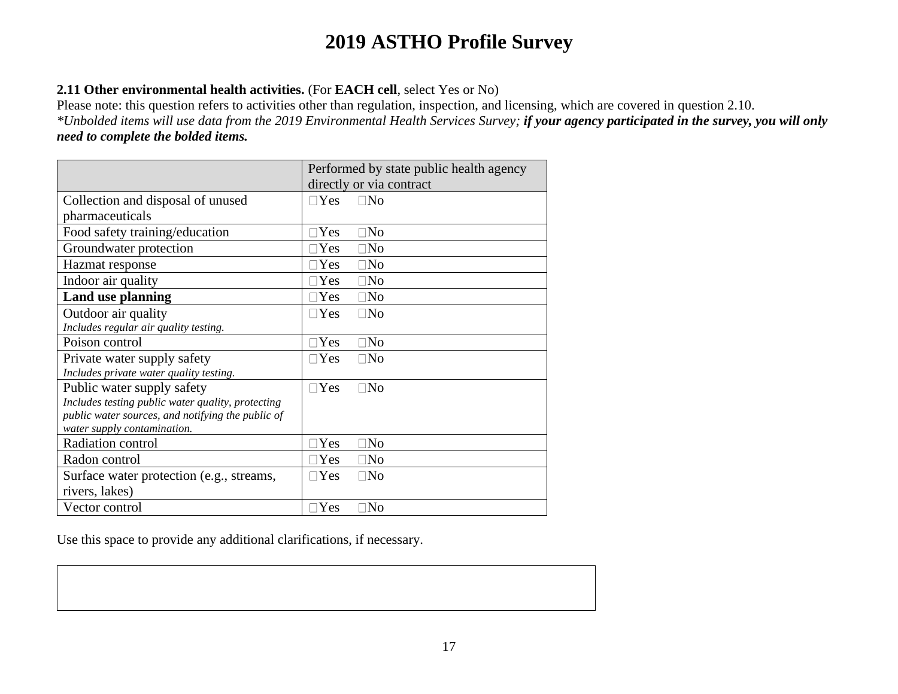### **2.11 Other environmental health activities.** (For **EACH cell**, select Yes or No)

Please note: this question refers to activities other than regulation, inspection, and licensing, which are covered in question 2.10. *\*Unbolded items will use data from the 2019 Environmental Health Services Survey; if your agency participated in the survey, you will only need to complete the bolded items.*

|                                                   | Performed by state public health agency |
|---------------------------------------------------|-----------------------------------------|
|                                                   | directly or via contract                |
| Collection and disposal of unused                 | $\Box$ No<br>$\Box$ Yes                 |
| pharmaceuticals                                   |                                         |
| Food safety training/education                    | $\exists$ Yes<br>$\square$ No           |
| Groundwater protection                            | $\exists$ Yes<br>$\Box$ No              |
| Hazmat response                                   | $\Box$ No<br>$\Box$ Yes                 |
| Indoor air quality                                | $\Box$ Yes<br>$\Box$ No                 |
| Land use planning                                 | $\Box$ Yes<br>$\square$ No              |
| Outdoor air quality                               | $\Box$ Yes<br>$\Box$ No                 |
| Includes regular air quality testing.             |                                         |
| Poison control                                    | $\Box$ Yes<br>$\Box$ No                 |
| Private water supply safety                       | $\square$ Yes<br>$\square$ No           |
| Includes private water quality testing.           |                                         |
| Public water supply safety                        | $\Box$ Yes<br>$\Box$ No                 |
| Includes testing public water quality, protecting |                                         |
| public water sources, and notifying the public of |                                         |
| water supply contamination.                       |                                         |
| Radiation control                                 | $\Box$ Yes<br>$\square$ No              |
| Radon control                                     | $\Box$ Yes<br>$\square$ No              |
| Surface water protection (e.g., streams,          | $\Box$ Yes<br>$\square$ No              |
| rivers, lakes)                                    |                                         |
| Vector control                                    | $\exists$ Yes<br>$\square$ No           |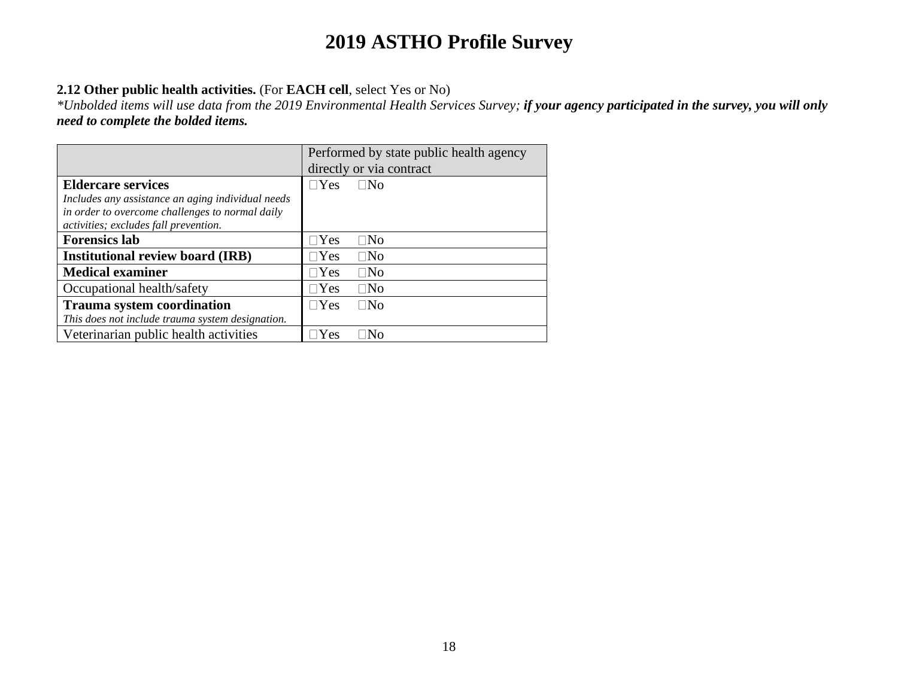### **2.12 Other public health activities.** (For **EACH cell**, select Yes or No)

*\*Unbolded items will use data from the 2019 Environmental Health Services Survey; if your agency participated in the survey, you will only need to complete the bolded items.*

|                                                   | Performed by state public health agency |  |
|---------------------------------------------------|-----------------------------------------|--|
|                                                   | directly or via contract                |  |
| <b>Eldercare services</b>                         | $\square$ No<br>$\Box$ Yes              |  |
| Includes any assistance an aging individual needs |                                         |  |
| in order to overcome challenges to normal daily   |                                         |  |
| activities; excludes fall prevention.             |                                         |  |
| <b>Forensics lab</b>                              | $\sqcap$ Yes<br>$\Box$ No               |  |
| <b>Institutional review board (IRB)</b>           | $\square$ No<br>$\Box$ Yes              |  |
| <b>Medical examiner</b>                           | $\Box$ Yes<br>$\square$ No              |  |
| Occupational health/safety                        | $\Box$ Yes<br>$\square$ No              |  |
| <b>Trauma system coordination</b>                 | $\Box$ Yes<br>$\square$ No              |  |
| This does not include trauma system designation.  |                                         |  |
| Veterinarian public health activities             | ∃No<br>Yes                              |  |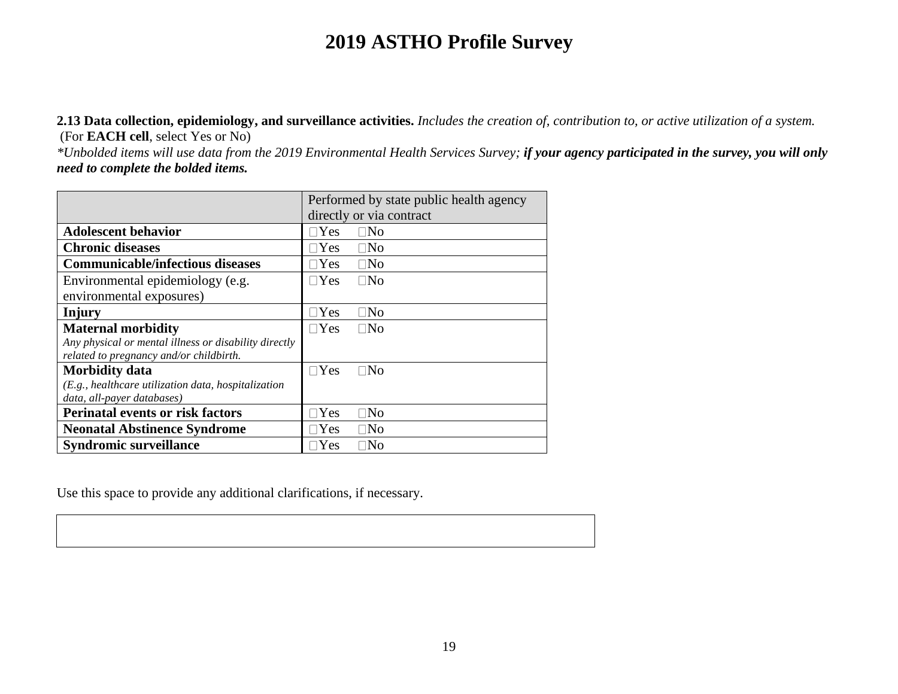**2.13 Data collection, epidemiology, and surveillance activities.** *Includes the creation of, contribution to, or active utilization of a system.*  (For **EACH cell**, select Yes or No)

*\*Unbolded items will use data from the 2019 Environmental Health Services Survey; if your agency participated in the survey, you will only need to complete the bolded items.*

|                                                       | Performed by state public health agency |  |  |
|-------------------------------------------------------|-----------------------------------------|--|--|
|                                                       | directly or via contract                |  |  |
| <b>Adolescent behavior</b>                            | $\sqcap$ Yes<br>$\square$ No            |  |  |
| <b>Chronic diseases</b>                               | $\Box$ Yes<br>$\square$ No              |  |  |
| <b>Communicable/infectious diseases</b>               | $\square$ No<br>$\sqcap$ Yes            |  |  |
| Environmental epidemiology (e.g.                      | $\square$ No<br>$\sqcap$ Yes            |  |  |
| environmental exposures)                              |                                         |  |  |
| Injury                                                | $\Box$ Yes<br>$\square$ No              |  |  |
| <b>Maternal morbidity</b>                             | $\Box$ Yes<br>$\square$ No              |  |  |
| Any physical or mental illness or disability directly |                                         |  |  |
| related to pregnancy and/or childbirth.               |                                         |  |  |
| <b>Morbidity data</b>                                 | $\sqcap$ Yes<br>$\square$ No            |  |  |
| (E.g., healthcare utilization data, hospitalization   |                                         |  |  |
| data, all-payer databases)                            |                                         |  |  |
| <b>Perinatal events or risk factors</b>               | $\exists$ Yes<br>$\square$ No           |  |  |
| <b>Neonatal Abstinence Syndrome</b>                   | $\square$ No<br>$\neg$ Yes              |  |  |
| <b>Syndromic surveillance</b>                         | $\Box$ No<br>$\neg$ Yes                 |  |  |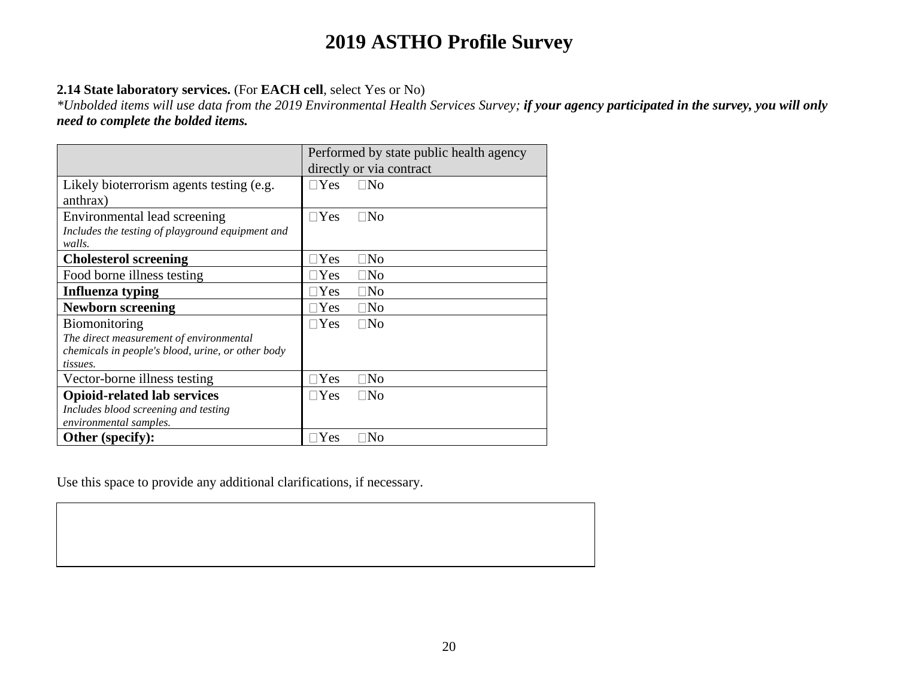### **2.14 State laboratory services.** (For **EACH cell**, select Yes or No)

*\*Unbolded items will use data from the 2019 Environmental Health Services Survey; if your agency participated in the survey, you will only need to complete the bolded items.*

|                                                   | Performed by state public health agency |
|---------------------------------------------------|-----------------------------------------|
|                                                   | directly or via contract                |
| Likely bioterrorism agents testing (e.g.          | $\neg$ Yes<br>$\square$ No              |
| anthrax)                                          |                                         |
| Environmental lead screening                      | $\Box$ Yes<br>$\square$ No              |
| Includes the testing of playground equipment and  |                                         |
| walls.                                            |                                         |
| <b>Cholesterol screening</b>                      | $\exists$ Yes<br>$\square$ No           |
| Food borne illness testing                        | $\square$ No<br>$\exists$ Yes           |
| Influenza typing                                  | $\Box$ Yes<br>$\square$ No              |
| <b>Newborn screening</b>                          | $\Box$ Yes<br>$\square$ No              |
| <b>Biomonitoring</b>                              | $\Box$ Yes<br>$\square$ No              |
| The direct measurement of environmental           |                                         |
| chemicals in people's blood, urine, or other body |                                         |
| tissues.                                          |                                         |
| Vector-borne illness testing                      | $\square$ No<br>$\exists$ Yes           |
| <b>Opioid-related lab services</b>                | $\Box$ Yes<br>$\square$ No              |
| Includes blood screening and testing              |                                         |
| environmental samples.                            |                                         |
| Other (specify):                                  | $\exists$ Yes<br>$\Box$ No              |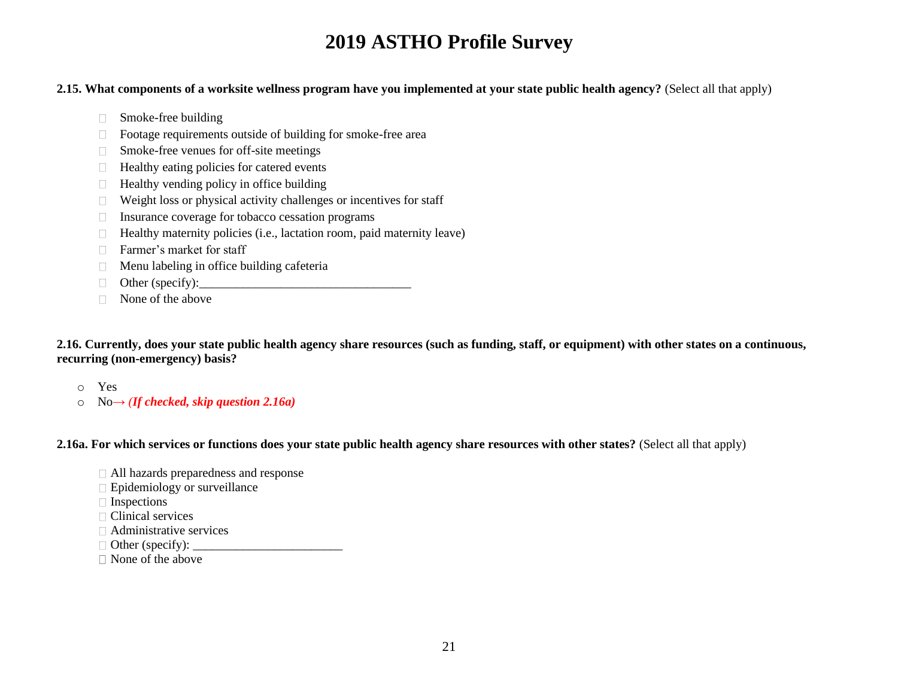#### **2.15. What components of a worksite wellness program have you implemented at your state public health agency?** (Select all that apply)

- Smoke-free building
- □ Footage requirements outside of building for smoke-free area
- □ Smoke-free venues for off-site meetings
- $\Box$  Healthy eating policies for catered events
- $\Box$  Healthy vending policy in office building
- $\Box$  Weight loss or physical activity challenges or incentives for staff
- $\Box$  Insurance coverage for tobacco cessation programs
- $\Box$  Healthy maternity policies (i.e., lactation room, paid maternity leave)
- □ Farmer's market for staff
- $\Box$  Menu labeling in office building cafeteria
- Other (specify):  $\qquad \qquad$
- $\Box$  None of the above

**2.16. Currently, does your state public health agency share resources (such as funding, staff, or equipment) with other states on a continuous, recurring (non-emergency) basis?** 

- o Yes
- o No→ *(If checked, skip question 2.16a)*

**2.16a. For which services or functions does your state public health agency share resources with other states?** (Select all that apply)

- All hazards preparedness and response
- $\Box$  Epidemiology or surveillance
- □ Inspections
- □ Clinical services
- $\Box$  Administrative services
- Other (specify): \_\_\_\_\_\_\_\_\_\_\_\_\_\_\_\_\_\_\_\_\_\_\_\_
- None of the above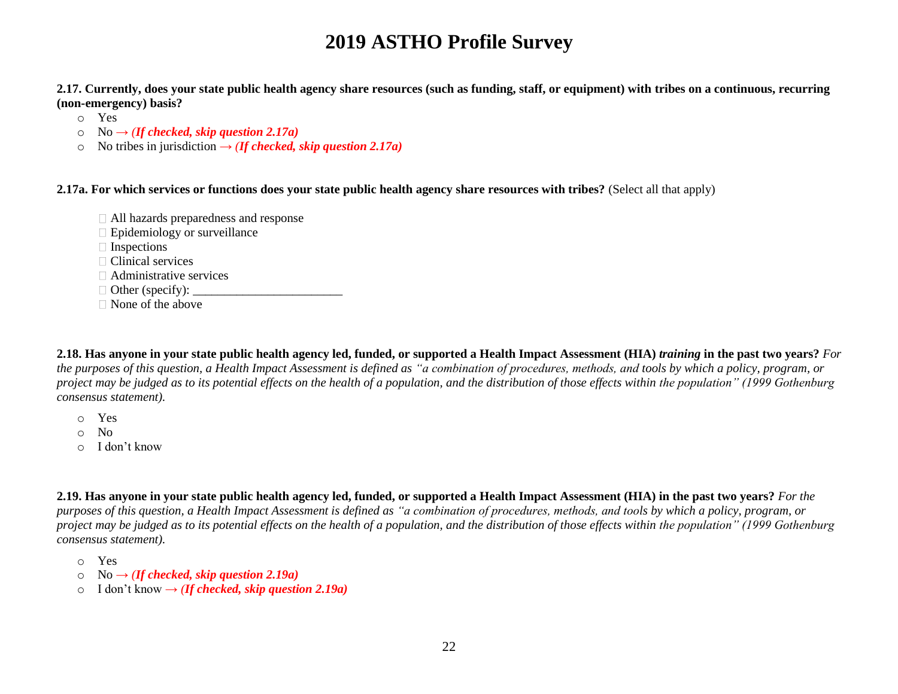**2.17. Currently, does your state public health agency share resources (such as funding, staff, or equipment) with tribes on a continuous, recurring (non-emergency) basis?** 

- o Yes
- $\circ$  No  $\rightarrow$  *(If checked, skip question 2.17a)*
- o No tribes in jurisdiction  $\rightarrow$  *(If checked, skip question 2.17a)*

**2.17a. For which services or functions does your state public health agency share resources with tribes?** (Select all that apply)

- All hazards preparedness and response
- Epidemiology or surveillance
- Inspections
- $\Box$  Clinical services
- $\Box$  Administrative services
- $\Box$  Other (specify):
- □ None of the above

**2.18. Has anyone in your state public health agency led, funded, or supported a Health Impact Assessment (HIA)** *training* **in the past two years?** *For the purposes of this question, a Health Impact Assessment is defined as "a combination of procedures, methods, and tools by which a policy, program, or project may be judged as to its potential effects on the health of a population, and the distribution of those effects within the population" (1999 Gothenburg consensus statement).*

- o Yes
- o No
- o I don't know

**2.19. Has anyone in your state public health agency led, funded, or supported a Health Impact Assessment (HIA) in the past two years?** *For the purposes of this question, a Health Impact Assessment is defined as "a combination of procedures, methods, and tools by which a policy, program, or project may be judged as to its potential effects on the health of a population, and the distribution of those effects within the population" (1999 Gothenburg consensus statement).*

- o Yes
- $No \rightarrow (If checked, skip question 2.19a)$
- o I don't know → *(If checked, skip question 2.19a)*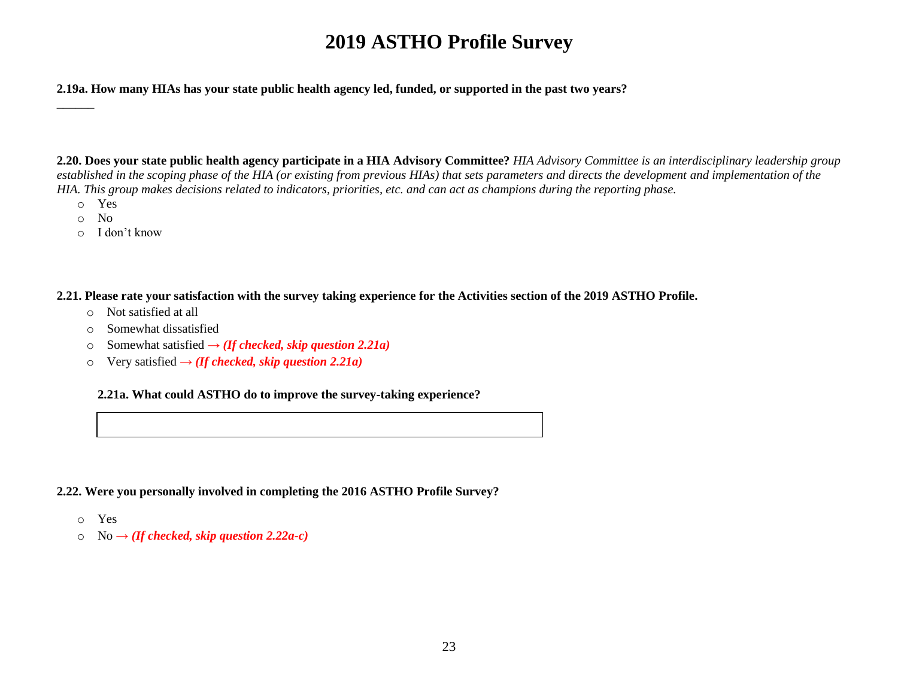**2.19a. How many HIAs has your state public health agency led, funded, or supported in the past two years?**

**2.20. Does your state public health agency participate in a HIA Advisory Committee?** *HIA Advisory Committee is an interdisciplinary leadership group established in the scoping phase of the HIA (or existing from previous HIAs) that sets parameters and directs the development and implementation of the HIA. This group makes decisions related to indicators, priorities, etc. and can act as champions during the reporting phase.*

o Yes

 $\overline{\phantom{a}}$ 

- o No
- o I don't know

**2.21. Please rate your satisfaction with the survey taking experience for the Activities section of the 2019 ASTHO Profile.** 

- o Not satisfied at all
- o Somewhat dissatisfied
- o Somewhat satisfied **→** *(If checked, skip question 2.21a)*
- o Very satisfied **→** *(If checked, skip question 2.21a)*

#### **2.21a. What could ASTHO do to improve the survey-taking experience?**

- **2.22. Were you personally involved in completing the 2016 ASTHO Profile Survey?**
	- o Yes
	- $\circ$  No  $\rightarrow$  *(If checked, skip question 2.22a-c)*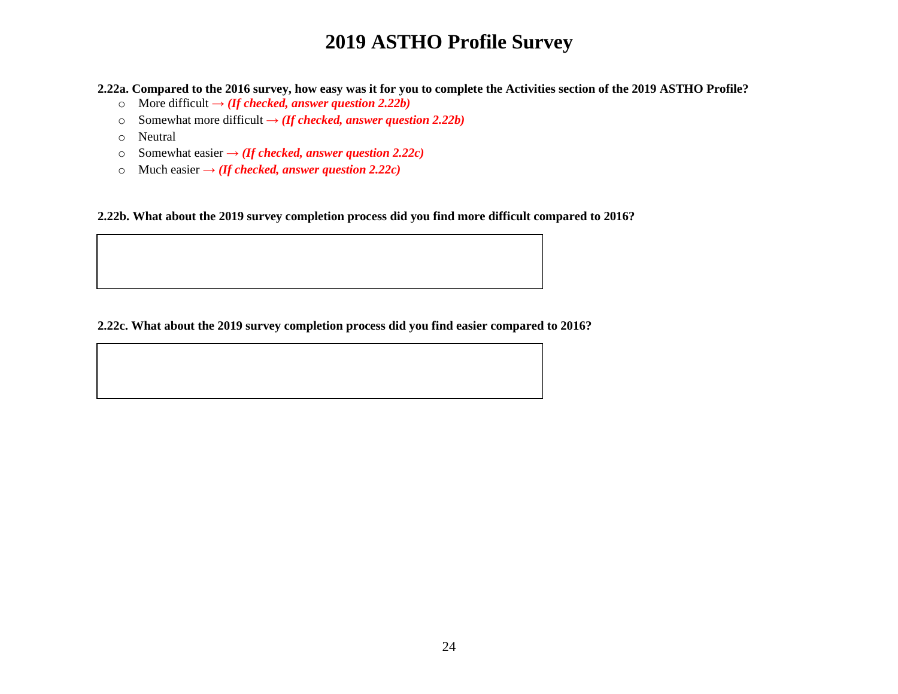**2.22a. Compared to the 2016 survey, how easy was it for you to complete the Activities section of the 2019 ASTHO Profile?** 

- o More difficult **→** *(If checked, answer question 2.22b)*
- o Somewhat more difficult  $\rightarrow$  *(If checked, answer question 2.22b)*
- o Neutral
- o Somewhat easier **→** *(If checked, answer question 2.22c)*
- o Much easier  $\rightarrow$  *(If checked, answer question 2.22c)*

**2.22b. What about the 2019 survey completion process did you find more difficult compared to 2016?**

#### **2.22c. What about the 2019 survey completion process did you find easier compared to 2016?**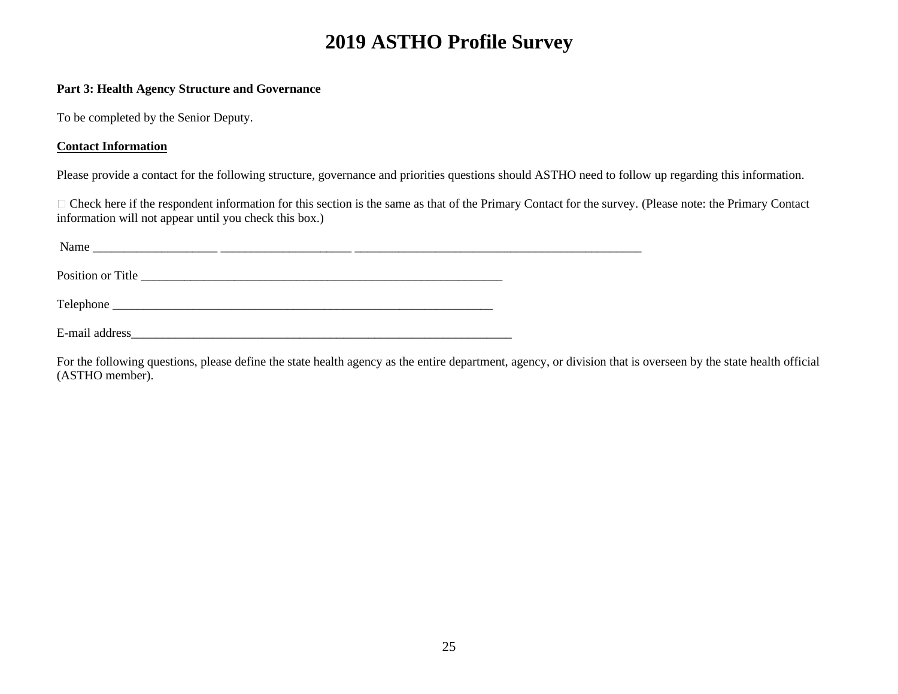#### **Part 3: Health Agency Structure and Governance**

To be completed by the Senior Deputy.

#### **Contact Information**

Please provide a contact for the following structure, governance and priorities questions should ASTHO need to follow up regarding this information.

Check here if the respondent information for this section is the same as that of the Primary Contact for the survey. (Please note: the Primary Contact information will not appear until you check this box.)

| Name<br><u> 1989 - John Stone, Amerikaansk politiker († 1989)</u> |  |  |
|-------------------------------------------------------------------|--|--|
| Position or Title                                                 |  |  |
|                                                                   |  |  |
| E-mail address                                                    |  |  |

For the following questions, please define the state health agency as the entire department, agency, or division that is overseen by the state health official (ASTHO member).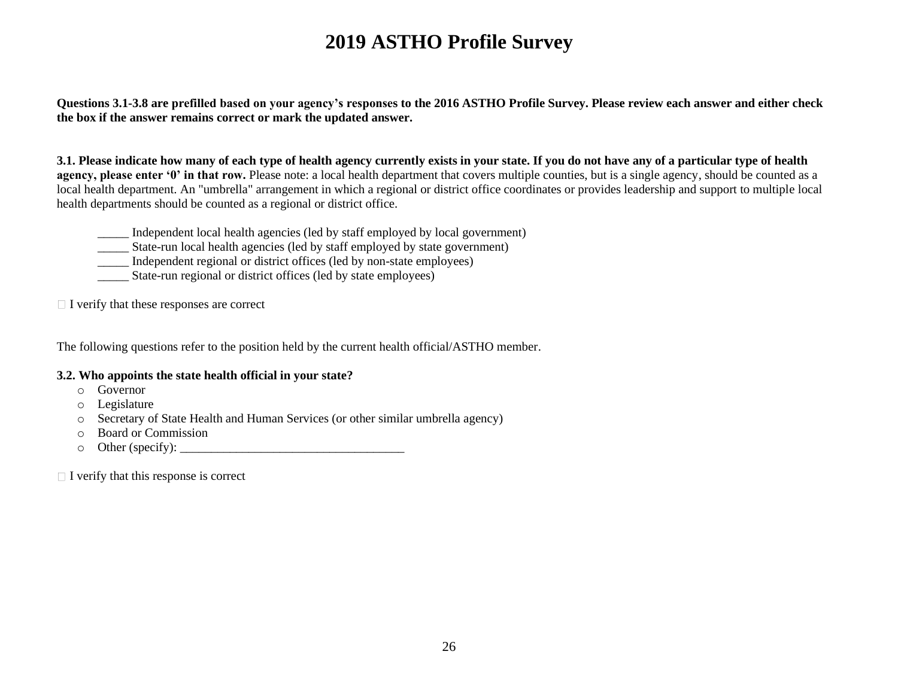**Questions 3.1-3.8 are prefilled based on your agency's responses to the 2016 ASTHO Profile Survey. Please review each answer and either check the box if the answer remains correct or mark the updated answer.** 

**3.1. Please indicate how many of each type of health agency currently exists in your state. If you do not have any of a particular type of health agency, please enter '0' in that row.** Please note: a local health department that covers multiple counties, but is a single agency, should be counted as a local health department. An "umbrella" arrangement in which a regional or district office coordinates or provides leadership and support to multiple local health departments should be counted as a regional or district office.

- \_\_\_\_\_ Independent local health agencies (led by staff employed by local government)
- \_\_\_\_\_ State-run local health agencies (led by staff employed by state government)
- \_\_\_\_\_ Independent regional or district offices (led by non-state employees)
- \_\_\_\_\_ State-run regional or district offices (led by state employees)

 $\Box$  I verify that these responses are correct

The following questions refer to the position held by the current health official/ASTHO member.

#### **3.2. Who appoints the state health official in your state?**

- o Governor
- o Legislature
- o Secretary of State Health and Human Services (or other similar umbrella agency)
- o Board or Commission
- o Other (specify): \_\_\_\_\_\_\_\_\_\_\_\_\_\_\_\_\_\_\_\_\_\_\_\_\_\_\_\_\_\_\_\_\_\_\_\_

 $\Box$  I verify that this response is correct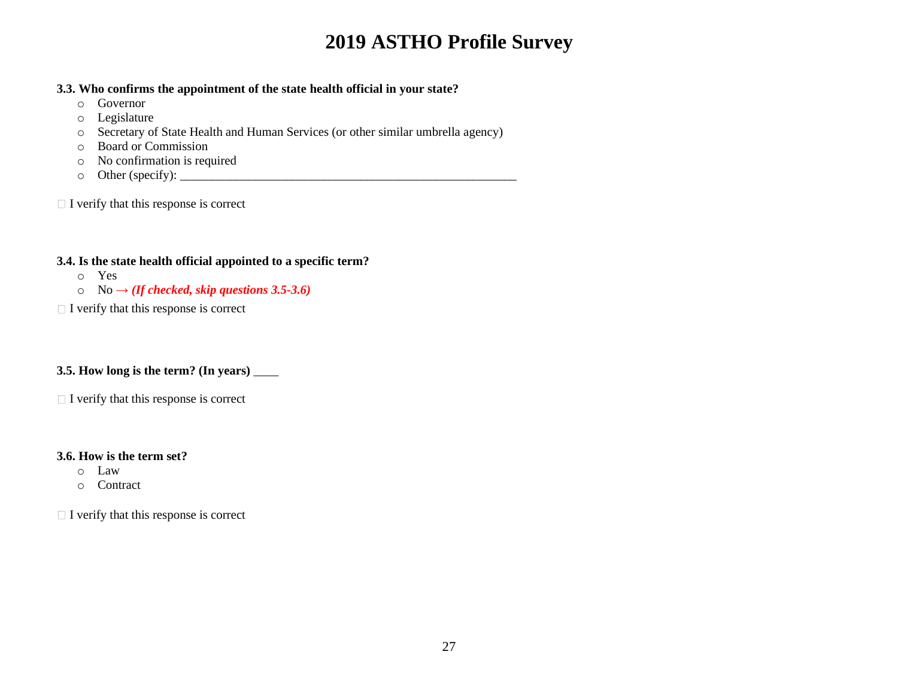#### **3.3. Who confirms the appointment of the state health official in your state?**

- o Governor
- o Legislature
- o Secretary of State Health and Human Services (or other similar umbrella agency)
- o Board or Commission
- o No confirmation is required
- o Other (specify): \_\_\_\_\_\_\_\_\_\_\_\_\_\_\_\_\_\_\_\_\_\_\_\_\_\_\_\_\_\_\_\_\_\_\_\_\_\_\_\_\_\_\_\_\_\_\_\_\_\_\_\_\_\_

 $\Box$  I verify that this response is correct

### **3.4. Is the state health official appointed to a specific term?**

- o Yes
- o No **→** *(If checked, skip questions 3.5-3.6)*
- $\Box$  I verify that this response is correct

### **3.5. How long is the term? (In years)** \_\_\_\_

 $\Box$  I verify that this response is correct

### **3.6. How is the term set?**

- o Law
- o Contract

 $\Box$  I verify that this response is correct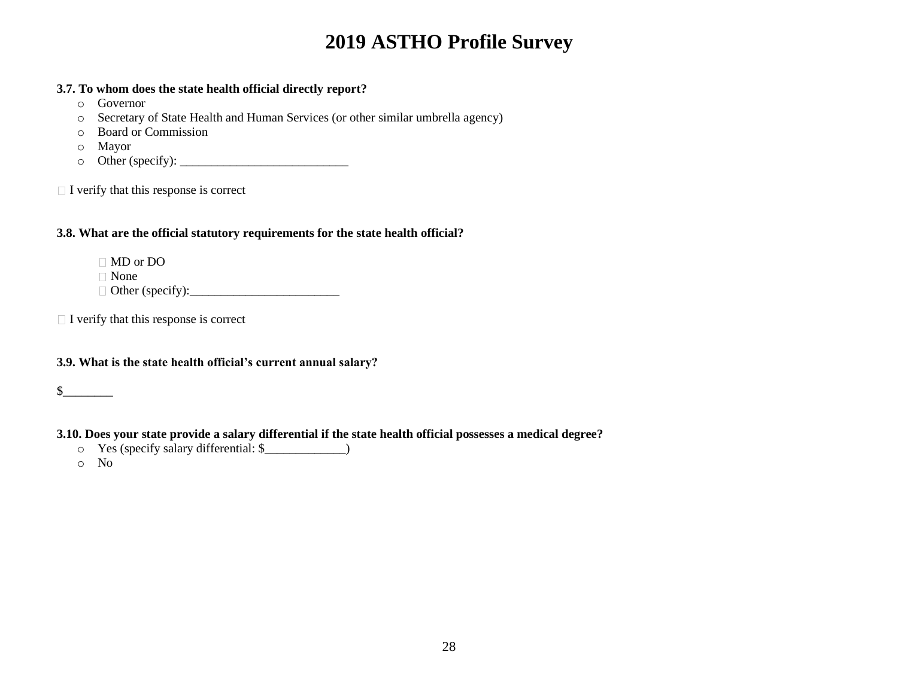#### **3.7. To whom does the state health official directly report?**

- o Governor
- o Secretary of State Health and Human Services (or other similar umbrella agency)
- o Board or Commission
- o Mayor
- o Other (specify): \_\_\_\_\_\_\_\_\_\_\_\_\_\_\_\_\_\_\_\_\_\_\_\_\_\_\_

 $\Box$  I verify that this response is correct

### **3.8. What are the official statutory requirements for the state health official?**

MD or DO None

Other (specify):\_\_\_\_\_\_\_\_\_\_\_\_\_\_\_\_\_\_\_\_\_\_\_\_

 $\Box$  I verify that this response is correct

### **3.9. What is the state health official's current annual salary?**

 $\mathcal S$ 

### **3.10. Does your state provide a salary differential if the state health official possesses a medical degree?**

o Yes (specify salary differential: \$\_\_\_\_\_\_\_\_\_\_\_\_\_)

o No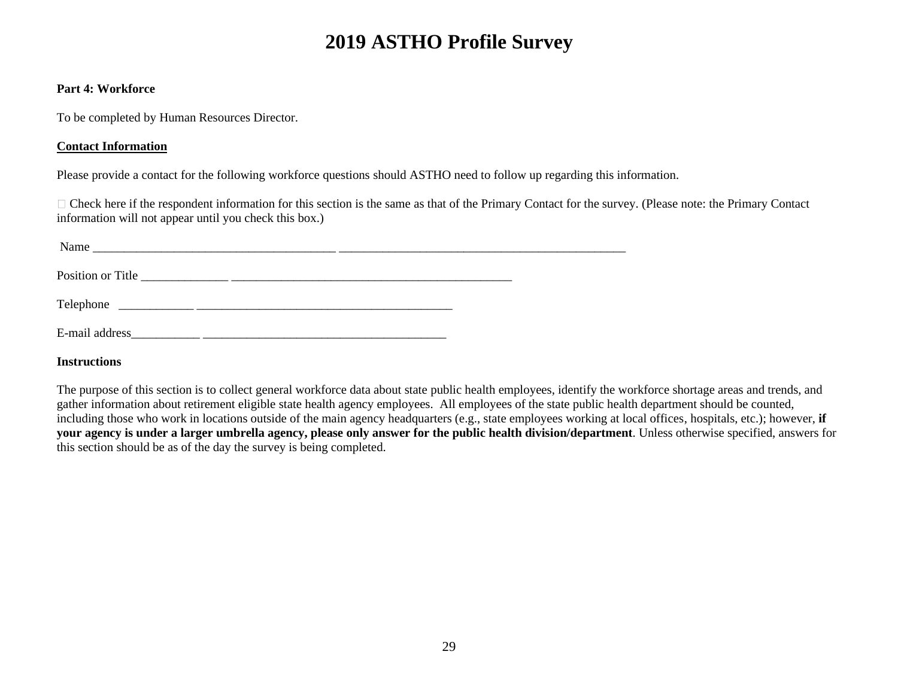#### **Part 4: Workforce**

To be completed by Human Resources Director.

#### **Contact Information**

Please provide a contact for the following workforce questions should ASTHO need to follow up regarding this information.

Check here if the respondent information for this section is the same as that of the Primary Contact for the survey. (Please note: the Primary Contact information will not appear until you check this box.)

| Name           | <u> 1990 - Jan James James James James James James James James James James James James James James James James J</u> |  |  |
|----------------|----------------------------------------------------------------------------------------------------------------------|--|--|
|                |                                                                                                                      |  |  |
|                |                                                                                                                      |  |  |
| E-mail address |                                                                                                                      |  |  |

**Instructions**

The purpose of this section is to collect general workforce data about state public health employees, identify the workforce shortage areas and trends, and gather information about retirement eligible state health agency employees. All employees of the state public health department should be counted, including those who work in locations outside of the main agency headquarters (e.g., state employees working at local offices, hospitals, etc.); however, **if your agency is under a larger umbrella agency, please only answer for the public health division/department**. Unless otherwise specified, answers for this section should be as of the day the survey is being completed.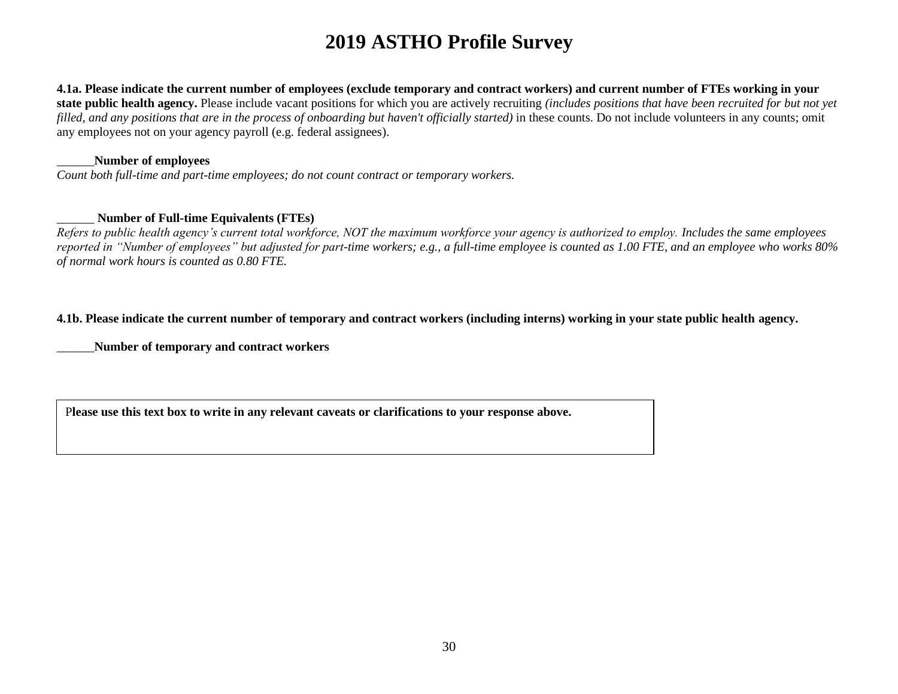**4.1a. Please indicate the current number of employees (exclude temporary and contract workers) and current number of FTEs working in your state public health agency.** Please include vacant positions for which you are actively recruiting *(includes positions that have been recruited for but not yet filled, and any positions that are in the process of onboarding but haven't officially started*) in these counts. Do not include volunteers in any counts; omit any employees not on your agency payroll (e.g. federal assignees).

#### \_\_\_\_\_\_**Number of employees**

*Count both full-time and part-time employees; do not count contract or temporary workers.*

#### \_\_\_\_\_\_ **Number of Full-time Equivalents (FTEs)**

*Refers to public health agency's current total workforce, NOT the maximum workforce your agency is authorized to employ. Includes the same employees reported in "Number of employees" but adjusted for part-time workers; e.g., a full-time employee is counted as 1.00 FTE, and an employee who works 80% of normal work hours is counted as 0.80 FTE.*

#### **4.1b. Please indicate the current number of temporary and contract workers (including interns) working in your state public health agency.**

\_\_\_\_\_\_**Number of temporary and contract workers**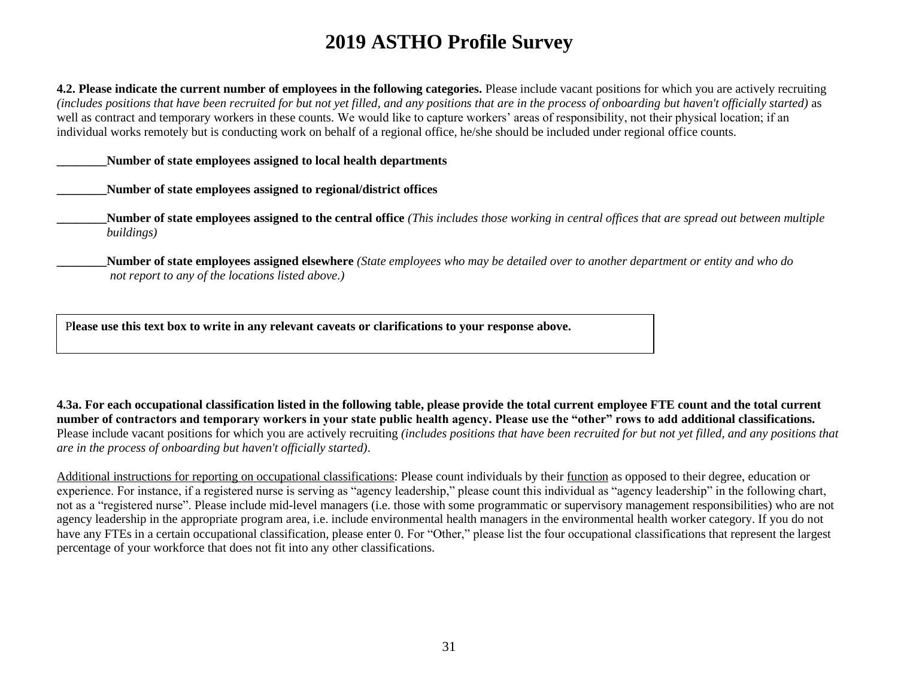**4.2. Please indicate the current number of employees in the following categories.** Please include vacant positions for which you are actively recruiting *(includes positions that have been recruited for but not yet filled, and any positions that are in the process of onboarding but haven't officially started)* as well as contract and temporary workers in these counts. We would like to capture workers' areas of responsibility, not their physical location; if an individual works remotely but is conducting work on behalf of a regional office, he/she should be included under regional office counts.

**\_\_\_\_\_\_\_\_Number of state employees assigned to local health departments** 

**\_\_\_\_\_\_\_\_Number of state employees assigned to regional/district offices** 

**Number of state employees assigned to the central office** *(This includes those working in central offices that are spread out between multiple buildings)*

**\_\_\_\_\_\_\_\_Number of state employees assigned elsewhere** *(State employees who may be detailed over to another department or entity and who do not report to any of the locations listed above.)* 

P**lease use this text box to write in any relevant caveats or clarifications to your response above.**

**4.3a. For each occupational classification listed in the following table, please provide the total current employee FTE count and the total current number of contractors and temporary workers in your state public health agency. Please use the "other" rows to add additional classifications.**  Please include vacant positions for which you are actively recruiting *(includes positions that have been recruited for but not yet filled, and any positions that are in the process of onboarding but haven't officially started)*.

Additional instructions for reporting on occupational classifications: Please count individuals by their function as opposed to their degree, education or experience. For instance, if a registered nurse is serving as "agency leadership," please count this individual as "agency leadership" in the following chart, not as a "registered nurse". Please include mid-level managers (i.e. those with some programmatic or supervisory management responsibilities) who are not agency leadership in the appropriate program area, i.e. include environmental health managers in the environmental health worker category. If you do not have any FTEs in a certain occupational classification, please enter 0. For "Other," please list the four occupational classifications that represent the largest percentage of your workforce that does not fit into any other classifications.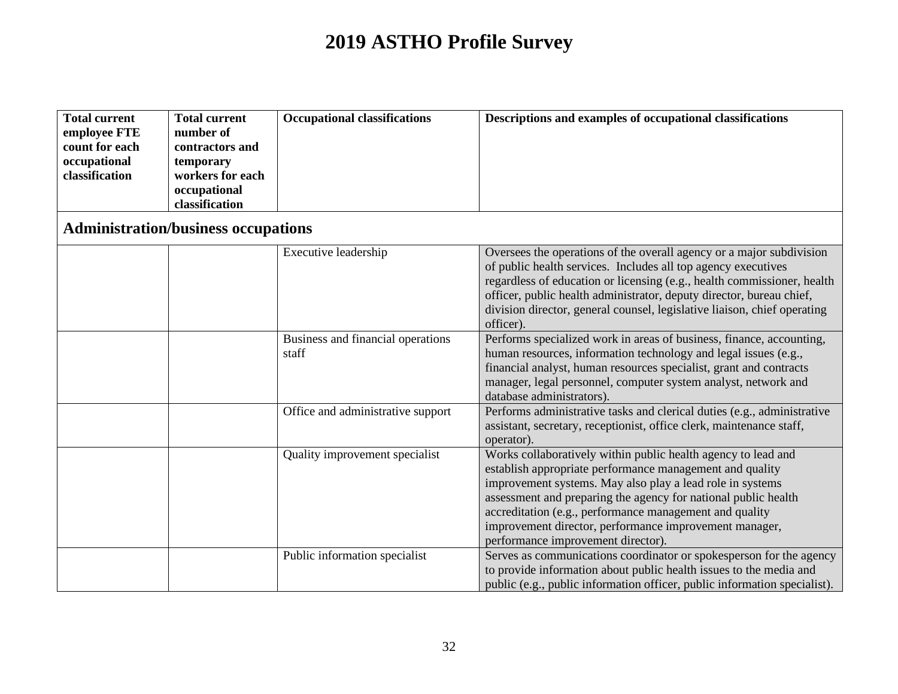| <b>Total current</b> | <b>Total current</b> | <b>Occupational classifications</b> | Descriptions and examples of occupational classifications |
|----------------------|----------------------|-------------------------------------|-----------------------------------------------------------|
| employee FTE         | number of            |                                     |                                                           |
| count for each       | contractors and      |                                     |                                                           |
| occupational         | temporary            |                                     |                                                           |
| classification       | workers for each     |                                     |                                                           |
|                      | occupational         |                                     |                                                           |
|                      | classification       |                                     |                                                           |

### **Administration/business occupations**

| Executive leadership                       | Oversees the operations of the overall agency or a major subdivision<br>of public health services. Includes all top agency executives<br>regardless of education or licensing (e.g., health commissioner, health<br>officer, public health administrator, deputy director, bureau chief,<br>division director, general counsel, legislative liaison, chief operating<br>officer).                                   |
|--------------------------------------------|---------------------------------------------------------------------------------------------------------------------------------------------------------------------------------------------------------------------------------------------------------------------------------------------------------------------------------------------------------------------------------------------------------------------|
| Business and financial operations<br>staff | Performs specialized work in areas of business, finance, accounting,<br>human resources, information technology and legal issues (e.g.,<br>financial analyst, human resources specialist, grant and contracts<br>manager, legal personnel, computer system analyst, network and<br>database administrators).                                                                                                        |
| Office and administrative support          | Performs administrative tasks and clerical duties (e.g., administrative<br>assistant, secretary, receptionist, office clerk, maintenance staff,<br>operator).                                                                                                                                                                                                                                                       |
| Quality improvement specialist             | Works collaboratively within public health agency to lead and<br>establish appropriate performance management and quality<br>improvement systems. May also play a lead role in systems<br>assessment and preparing the agency for national public health<br>accreditation (e.g., performance management and quality<br>improvement director, performance improvement manager,<br>performance improvement director). |
| Public information specialist              | Serves as communications coordinator or spokesperson for the agency<br>to provide information about public health issues to the media and<br>public (e.g., public information officer, public information specialist).                                                                                                                                                                                              |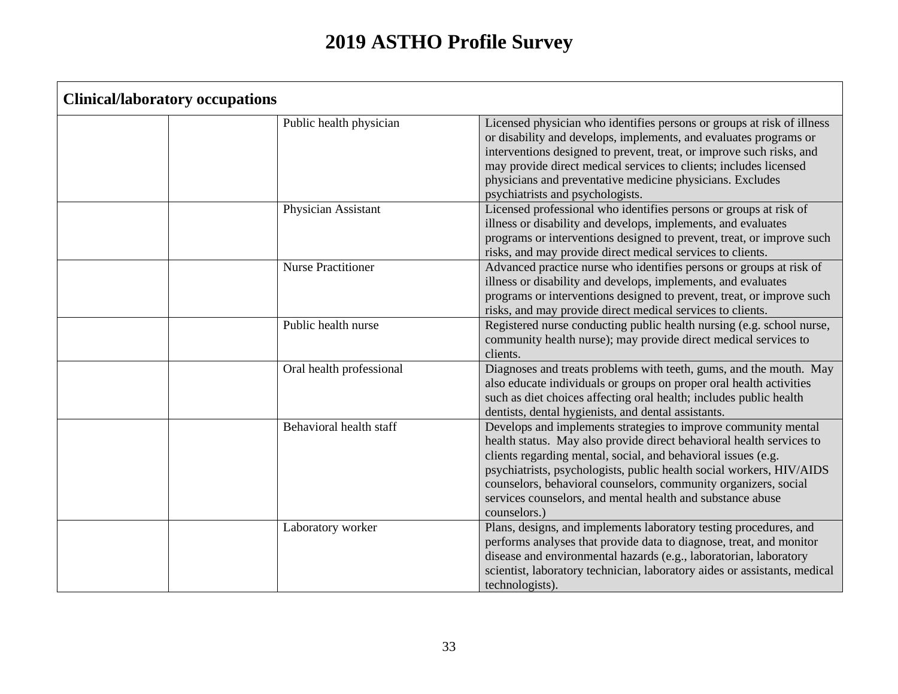| <b>Clinical/laboratory occupations</b> |                           |                                                                                                                                                                                                                                                                                                                                                                                                                                  |
|----------------------------------------|---------------------------|----------------------------------------------------------------------------------------------------------------------------------------------------------------------------------------------------------------------------------------------------------------------------------------------------------------------------------------------------------------------------------------------------------------------------------|
|                                        | Public health physician   | Licensed physician who identifies persons or groups at risk of illness<br>or disability and develops, implements, and evaluates programs or<br>interventions designed to prevent, treat, or improve such risks, and<br>may provide direct medical services to clients; includes licensed<br>physicians and preventative medicine physicians. Excludes<br>psychiatrists and psychologists.                                        |
|                                        | Physician Assistant       | Licensed professional who identifies persons or groups at risk of<br>illness or disability and develops, implements, and evaluates<br>programs or interventions designed to prevent, treat, or improve such<br>risks, and may provide direct medical services to clients.                                                                                                                                                        |
|                                        | <b>Nurse Practitioner</b> | Advanced practice nurse who identifies persons or groups at risk of<br>illness or disability and develops, implements, and evaluates<br>programs or interventions designed to prevent, treat, or improve such<br>risks, and may provide direct medical services to clients.                                                                                                                                                      |
|                                        | Public health nurse       | Registered nurse conducting public health nursing (e.g. school nurse,<br>community health nurse); may provide direct medical services to<br>clients.                                                                                                                                                                                                                                                                             |
|                                        | Oral health professional  | Diagnoses and treats problems with teeth, gums, and the mouth. May<br>also educate individuals or groups on proper oral health activities<br>such as diet choices affecting oral health; includes public health<br>dentists, dental hygienists, and dental assistants.                                                                                                                                                           |
|                                        | Behavioral health staff   | Develops and implements strategies to improve community mental<br>health status. May also provide direct behavioral health services to<br>clients regarding mental, social, and behavioral issues (e.g.<br>psychiatrists, psychologists, public health social workers, HIV/AIDS<br>counselors, behavioral counselors, community organizers, social<br>services counselors, and mental health and substance abuse<br>counselors.) |
|                                        | Laboratory worker         | Plans, designs, and implements laboratory testing procedures, and<br>performs analyses that provide data to diagnose, treat, and monitor<br>disease and environmental hazards (e.g., laboratorian, laboratory<br>scientist, laboratory technician, laboratory aides or assistants, medical<br>technologists).                                                                                                                    |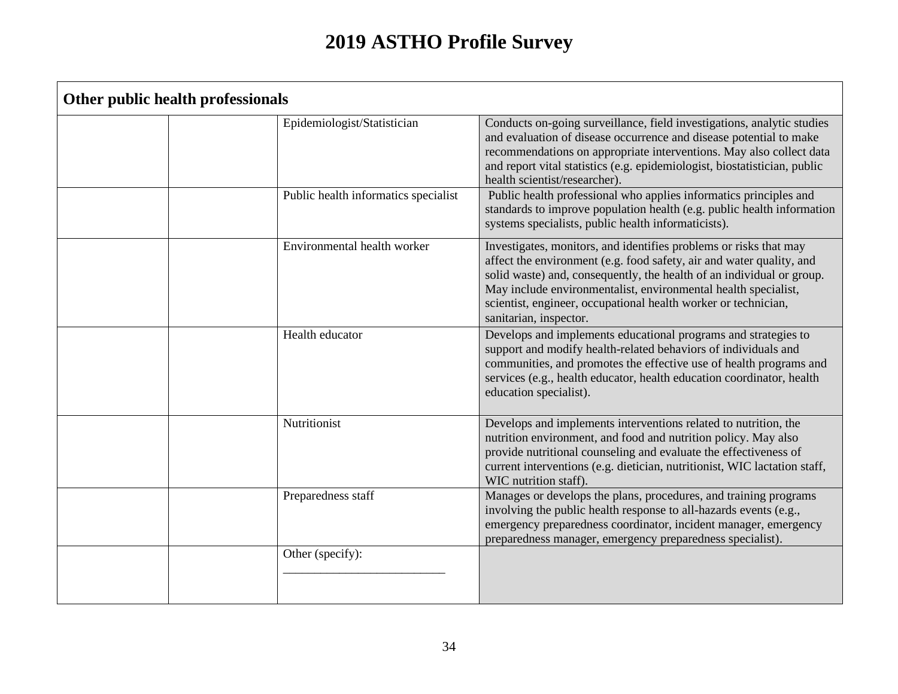| Other public health professionals    |                                                                                                                                                                                                                                                                                                                                                                                  |
|--------------------------------------|----------------------------------------------------------------------------------------------------------------------------------------------------------------------------------------------------------------------------------------------------------------------------------------------------------------------------------------------------------------------------------|
| Epidemiologist/Statistician          | Conducts on-going surveillance, field investigations, analytic studies<br>and evaluation of disease occurrence and disease potential to make<br>recommendations on appropriate interventions. May also collect data<br>and report vital statistics (e.g. epidemiologist, biostatistician, public<br>health scientist/researcher).                                                |
| Public health informatics specialist | Public health professional who applies informatics principles and<br>standards to improve population health (e.g. public health information<br>systems specialists, public health informaticists).                                                                                                                                                                               |
| Environmental health worker          | Investigates, monitors, and identifies problems or risks that may<br>affect the environment (e.g. food safety, air and water quality, and<br>solid waste) and, consequently, the health of an individual or group.<br>May include environmentalist, environmental health specialist,<br>scientist, engineer, occupational health worker or technician,<br>sanitarian, inspector. |
| Health educator                      | Develops and implements educational programs and strategies to<br>support and modify health-related behaviors of individuals and<br>communities, and promotes the effective use of health programs and<br>services (e.g., health educator, health education coordinator, health<br>education specialist).                                                                        |
| Nutritionist                         | Develops and implements interventions related to nutrition, the<br>nutrition environment, and food and nutrition policy. May also<br>provide nutritional counseling and evaluate the effectiveness of<br>current interventions (e.g. dietician, nutritionist, WIC lactation staff,<br>WIC nutrition staff).                                                                      |
| Preparedness staff                   | Manages or develops the plans, procedures, and training programs<br>involving the public health response to all-hazards events (e.g.,<br>emergency preparedness coordinator, incident manager, emergency<br>preparedness manager, emergency preparedness specialist).                                                                                                            |
| Other (specify):                     |                                                                                                                                                                                                                                                                                                                                                                                  |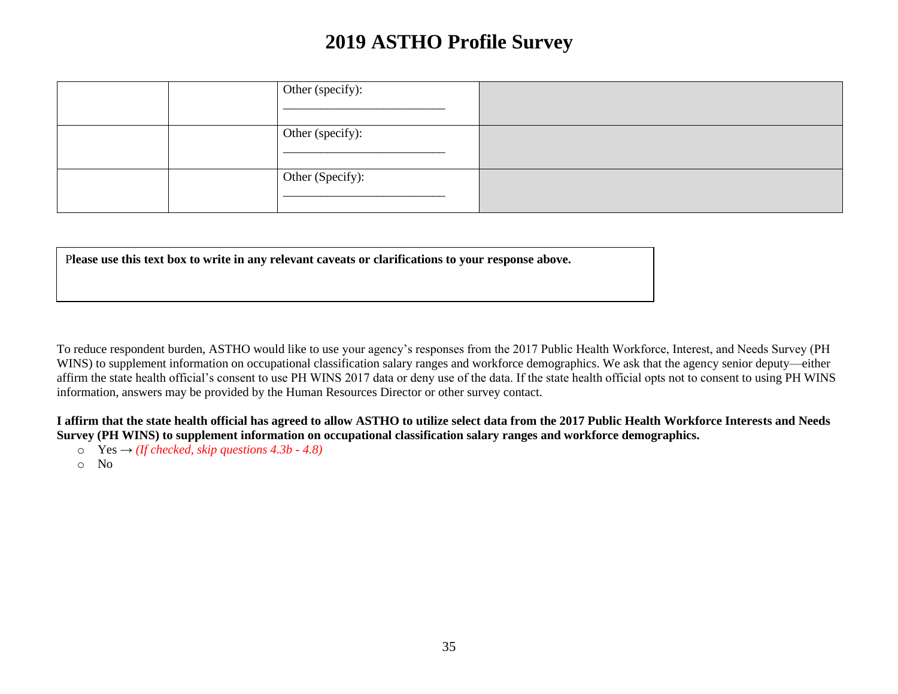|  | Other (specify): |  |
|--|------------------|--|
|  | Other (specify): |  |
|  | Other (Specify): |  |

P**lease use this text box to write in any relevant caveats or clarifications to your response above.**

To reduce respondent burden, ASTHO would like to use your agency's responses from the 2017 Public Health Workforce, Interest, and Needs Survey (PH WINS) to supplement information on occupational classification salary ranges and workforce demographics. We ask that the agency senior deputy—either affirm the state health official's consent to use PH WINS 2017 data or deny use of the data. If the state health official opts not to consent to using PH WINS information, answers may be provided by the Human Resources Director or other survey contact.

#### **I affirm that the state health official has agreed to allow ASTHO to utilize select data from the 2017 Public Health Workforce Interests and Needs Survey (PH WINS) to supplement information on occupational classification salary ranges and workforce demographics.**

- o Yes *→ (If checked, skip questions 4.3b - 4.8)*
- o No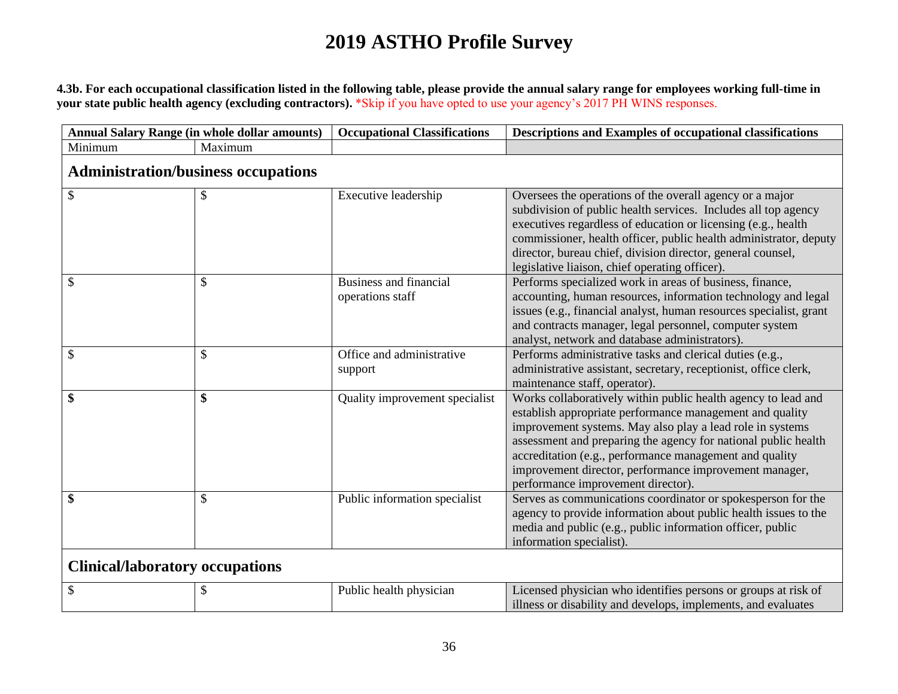**4.3b. For each occupational classification listed in the following table, please provide the annual salary range for employees working full-time in your state public health agency (excluding contractors).** \*Skip if you have opted to use your agency's 2017 PH WINS responses.

| <b>Annual Salary Range (in whole dollar amounts)</b> |                                            | <b>Occupational Classifications</b>        | Descriptions and Examples of occupational classifications                                                                                                                                                                                                                                                                                                                                                           |
|------------------------------------------------------|--------------------------------------------|--------------------------------------------|---------------------------------------------------------------------------------------------------------------------------------------------------------------------------------------------------------------------------------------------------------------------------------------------------------------------------------------------------------------------------------------------------------------------|
| Minimum                                              | Maximum                                    |                                            |                                                                                                                                                                                                                                                                                                                                                                                                                     |
|                                                      | <b>Administration/business occupations</b> |                                            |                                                                                                                                                                                                                                                                                                                                                                                                                     |
| \$                                                   | \$                                         | Executive leadership                       | Oversees the operations of the overall agency or a major<br>subdivision of public health services. Includes all top agency<br>executives regardless of education or licensing (e.g., health<br>commissioner, health officer, public health administrator, deputy<br>director, bureau chief, division director, general counsel,<br>legislative liaison, chief operating officer).                                   |
| S                                                    | \$                                         | Business and financial<br>operations staff | Performs specialized work in areas of business, finance,<br>accounting, human resources, information technology and legal<br>issues (e.g., financial analyst, human resources specialist, grant<br>and contracts manager, legal personnel, computer system<br>analyst, network and database administrators).                                                                                                        |
| \$                                                   | $\mathcal{S}$                              | Office and administrative<br>support       | Performs administrative tasks and clerical duties (e.g.,<br>administrative assistant, secretary, receptionist, office clerk,<br>maintenance staff, operator).                                                                                                                                                                                                                                                       |
| \$                                                   | \$                                         | Quality improvement specialist             | Works collaboratively within public health agency to lead and<br>establish appropriate performance management and quality<br>improvement systems. May also play a lead role in systems<br>assessment and preparing the agency for national public health<br>accreditation (e.g., performance management and quality<br>improvement director, performance improvement manager,<br>performance improvement director). |
| \$                                                   | \$                                         | Public information specialist              | Serves as communications coordinator or spokesperson for the<br>agency to provide information about public health issues to the<br>media and public (e.g., public information officer, public<br>information specialist).                                                                                                                                                                                           |
| <b>Clinical/laboratory occupations</b>               |                                            |                                            |                                                                                                                                                                                                                                                                                                                                                                                                                     |
| \$                                                   | \$                                         | Public health physician                    | Licensed physician who identifies persons or groups at risk of                                                                                                                                                                                                                                                                                                                                                      |

illness or disability and develops, implements, and evaluates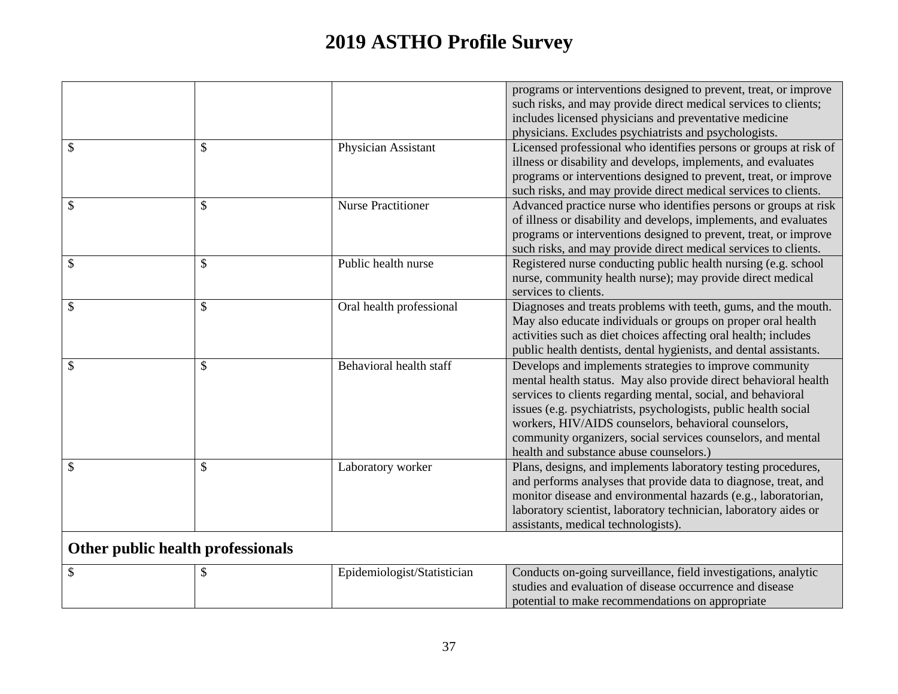|               |               |                           | programs or interventions designed to prevent, treat, or improve<br>such risks, and may provide direct medical services to clients;<br>includes licensed physicians and preventative medicine<br>physicians. Excludes psychiatrists and psychologists.                                                                                                                                                                           |
|---------------|---------------|---------------------------|----------------------------------------------------------------------------------------------------------------------------------------------------------------------------------------------------------------------------------------------------------------------------------------------------------------------------------------------------------------------------------------------------------------------------------|
| \$            | \$            | Physician Assistant       | Licensed professional who identifies persons or groups at risk of<br>illness or disability and develops, implements, and evaluates<br>programs or interventions designed to prevent, treat, or improve<br>such risks, and may provide direct medical services to clients.                                                                                                                                                        |
| \$            | \$            | <b>Nurse Practitioner</b> | Advanced practice nurse who identifies persons or groups at risk<br>of illness or disability and develops, implements, and evaluates<br>programs or interventions designed to prevent, treat, or improve<br>such risks, and may provide direct medical services to clients.                                                                                                                                                      |
| \$            | \$            | Public health nurse       | Registered nurse conducting public health nursing (e.g. school<br>nurse, community health nurse); may provide direct medical<br>services to clients.                                                                                                                                                                                                                                                                             |
| \$            | $\mathcal{S}$ | Oral health professional  | Diagnoses and treats problems with teeth, gums, and the mouth.<br>May also educate individuals or groups on proper oral health<br>activities such as diet choices affecting oral health; includes<br>public health dentists, dental hygienists, and dental assistants.                                                                                                                                                           |
| $\mathcal{S}$ | \$            | Behavioral health staff   | Develops and implements strategies to improve community<br>mental health status. May also provide direct behavioral health<br>services to clients regarding mental, social, and behavioral<br>issues (e.g. psychiatrists, psychologists, public health social<br>workers, HIV/AIDS counselors, behavioral counselors,<br>community organizers, social services counselors, and mental<br>health and substance abuse counselors.) |
| \$            | \$            | Laboratory worker         | Plans, designs, and implements laboratory testing procedures,<br>and performs analyses that provide data to diagnose, treat, and<br>monitor disease and environmental hazards (e.g., laboratorian,<br>laboratory scientist, laboratory technician, laboratory aides or<br>assistants, medical technologists).                                                                                                                    |

# **Other public health professionals**

|  | Epidemiologist/Statistician | Conducts on-going surveillance, field investigations, analytic |
|--|-----------------------------|----------------------------------------------------------------|
|  |                             | studies and evaluation of disease occurrence and disease       |
|  |                             | potential to make recommendations on appropriate               |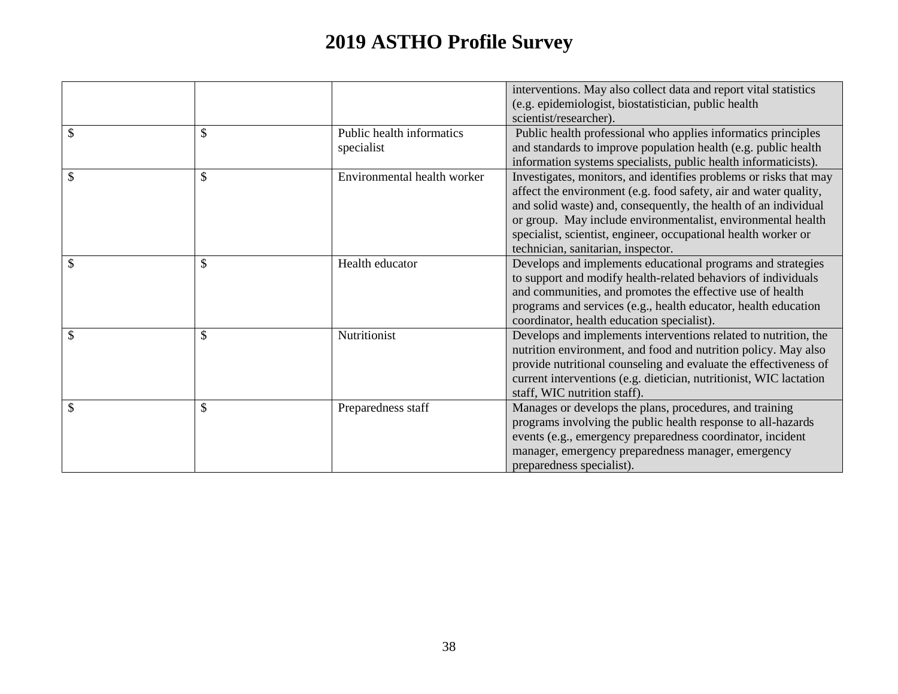|                     |                                         | interventions. May also collect data and report vital statistics<br>(e.g. epidemiologist, biostatistician, public health<br>scientist/researcher).                                                                                                                                                                                                                               |
|---------------------|-----------------------------------------|----------------------------------------------------------------------------------------------------------------------------------------------------------------------------------------------------------------------------------------------------------------------------------------------------------------------------------------------------------------------------------|
| \$<br>$\mathcal{S}$ | Public health informatics<br>specialist | Public health professional who applies informatics principles<br>and standards to improve population health (e.g. public health<br>information systems specialists, public health informaticists).                                                                                                                                                                               |
| \$<br>\$            | Environmental health worker             | Investigates, monitors, and identifies problems or risks that may<br>affect the environment (e.g. food safety, air and water quality,<br>and solid waste) and, consequently, the health of an individual<br>or group. May include environmentalist, environmental health<br>specialist, scientist, engineer, occupational health worker or<br>technician, sanitarian, inspector. |
| \$<br>$\mathcal{S}$ | Health educator                         | Develops and implements educational programs and strategies<br>to support and modify health-related behaviors of individuals<br>and communities, and promotes the effective use of health<br>programs and services (e.g., health educator, health education<br>coordinator, health education specialist).                                                                        |
| \$                  | Nutritionist                            | Develops and implements interventions related to nutrition, the<br>nutrition environment, and food and nutrition policy. May also<br>provide nutritional counseling and evaluate the effectiveness of<br>current interventions (e.g. dietician, nutritionist, WIC lactation<br>staff, WIC nutrition staff).                                                                      |
| \$                  | Preparedness staff                      | Manages or develops the plans, procedures, and training<br>programs involving the public health response to all-hazards<br>events (e.g., emergency preparedness coordinator, incident<br>manager, emergency preparedness manager, emergency<br>preparedness specialist).                                                                                                         |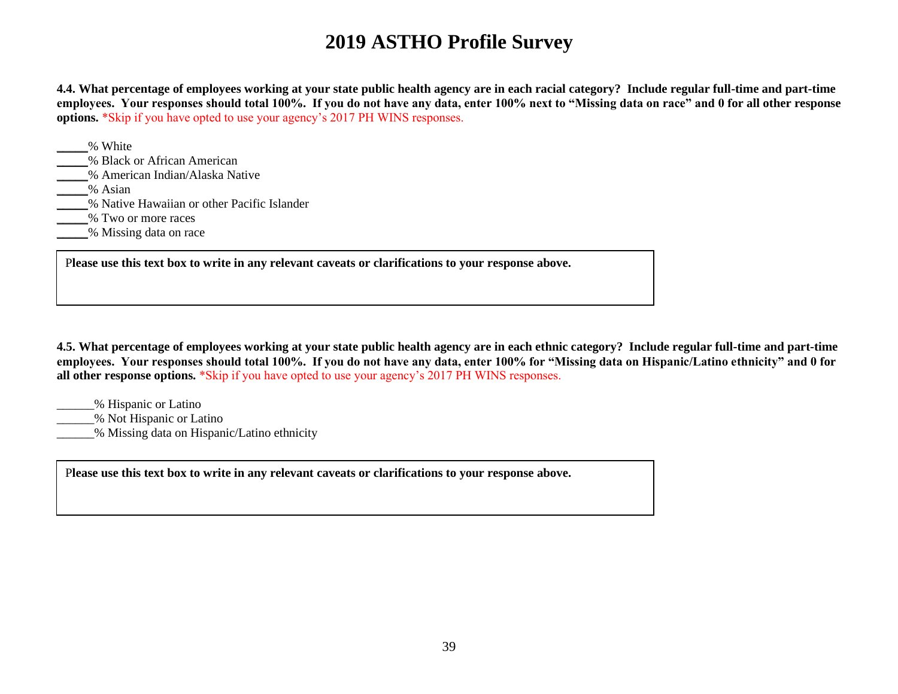**4.4. What percentage of employees working at your state public health agency are in each racial category? Include regular full-time and part-time employees. Your responses should total 100%. If you do not have any data, enter 100% next to "Missing data on race" and 0 for all other response options.** \*Skip if you have opted to use your agency's 2017 PH WINS responses.

| % White                                     |  |
|---------------------------------------------|--|
| % Black or African American                 |  |
| % American Indian/Alaska Native             |  |
| % Asian                                     |  |
| % Native Hawaiian or other Pacific Islander |  |
| % Two or more races                         |  |
| % Missing data on race                      |  |

P**lease use this text box to write in any relevant caveats or clarifications to your response above.**

**4.5. What percentage of employees working at your state public health agency are in each ethnic category? Include regular full-time and part-time employees. Your responses should total 100%. If you do not have any data, enter 100% for "Missing data on Hispanic/Latino ethnicity" and 0 for all other response options.** \*Skip if you have opted to use your agency's 2017 PH WINS responses.

\_\_\_\_\_\_% Hispanic or Latino

\_\_\_\_\_\_% Not Hispanic or Latino

\_\_\_\_\_\_% Missing data on Hispanic/Latino ethnicity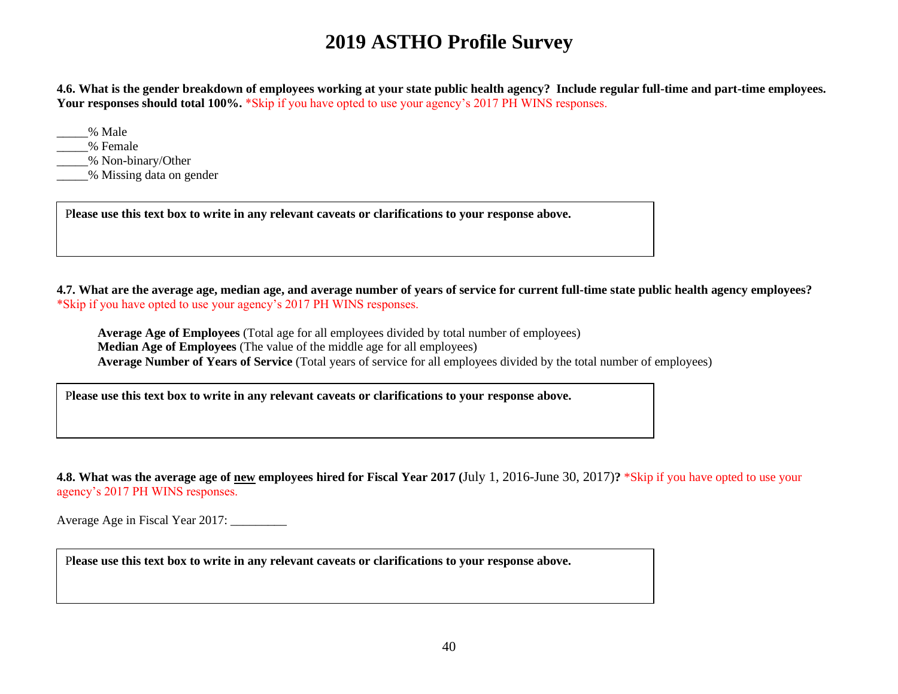**4.6. What is the gender breakdown of employees working at your state public health agency? Include regular full-time and part-time employees. Your responses should total 100%.** \*Skip if you have opted to use your agency's 2017 PH WINS responses.

\_\_\_\_\_% Male

\_\_\_\_\_% Female

\_\_\_\_\_% Non-binary/Other

\_\_\_\_\_% Missing data on gender

P**lease use this text box to write in any relevant caveats or clarifications to your response above.**

**4.7. What are the average age, median age, and average number of years of service for current full-time state public health agency employees?**  \*Skip if you have opted to use your agency's 2017 PH WINS responses.

**Average Age of Employees** (Total age for all employees divided by total number of employees) **Median Age of Employees** (The value of the middle age for all employees) **Average Number of Years of Service** (Total years of service for all employees divided by the total number of employees)

P**lease use this text box to write in any relevant caveats or clarifications to your response above.**

**4.8. What was the average age of new employees hired for Fiscal Year 2017 (**July 1, 2016-June 30, 2017)**?** \*Skip if you have opted to use your agency's 2017 PH WINS responses.

Average Age in Fiscal Year 2017: \_\_\_\_\_\_\_\_\_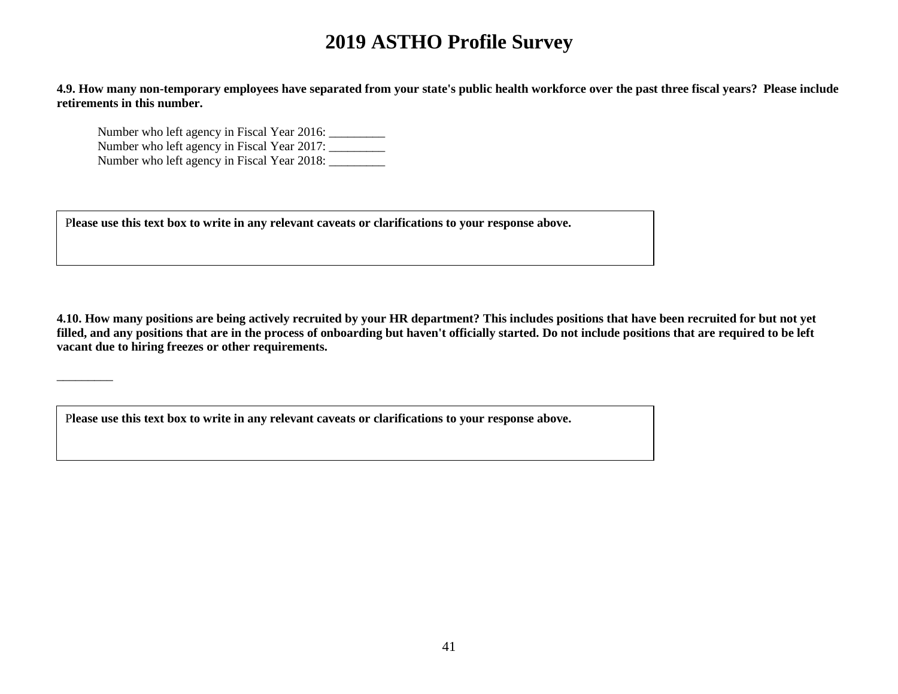**4.9. How many non-temporary employees have separated from your state's public health workforce over the past three fiscal years? Please include retirements in this number.**

Number who left agency in Fiscal Year 2016: \_\_\_\_\_\_\_\_\_\_\_ Number who left agency in Fiscal Year 2017: Number who left agency in Fiscal Year 2018: \_\_\_\_\_\_\_\_\_

\_\_\_\_\_\_\_\_\_

P**lease use this text box to write in any relevant caveats or clarifications to your response above.**

**4.10. How many positions are being actively recruited by your HR department? This includes positions that have been recruited for but not yet filled, and any positions that are in the process of onboarding but haven't officially started. Do not include positions that are required to be left vacant due to hiring freezes or other requirements.**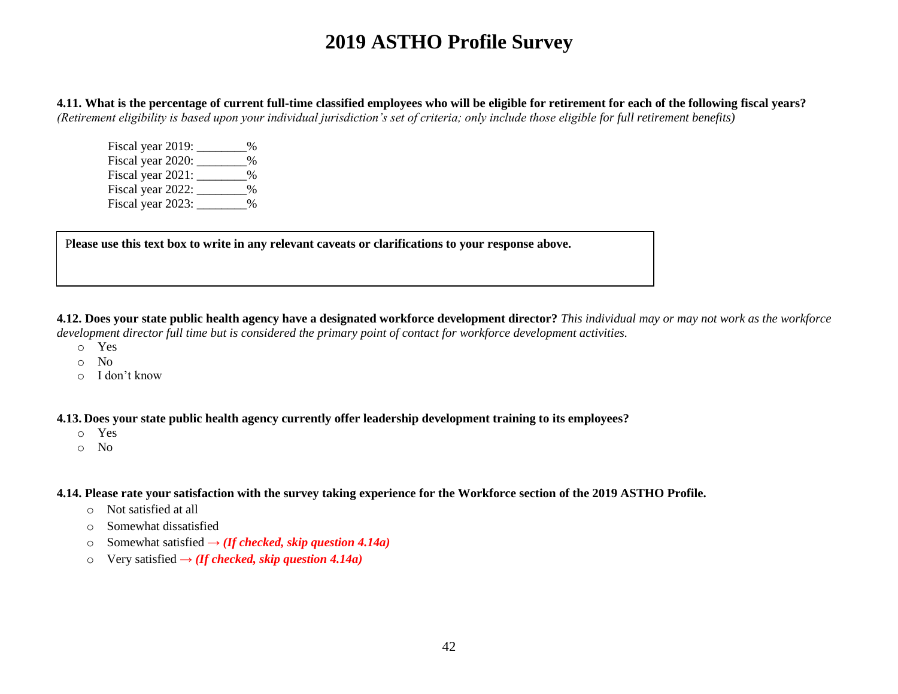**4.11. What is the percentage of current full-time classified employees who will be eligible for retirement for each of the following fiscal years?**  *(Retirement eligibility is based upon your individual jurisdiction's set of criteria; only include those eligible for full retirement benefits)*

Fiscal year 2019:  $\frac{1}{2}$ Fiscal year 2020: \_\_\_\_\_\_\_\_% Fiscal year 2021: \_\_\_\_\_\_\_\_\_% Fiscal year 2022: \_\_\_\_\_\_\_\_\_% Fiscal year 2023: 2%

P**lease use this text box to write in any relevant caveats or clarifications to your response above.**

**4.12. Does your state public health agency have a designated workforce development director?** *This individual may or may not work as the workforce development director full time but is considered the primary point of contact for workforce development activities.*

- o Yes
- o No
- o I don't know

**4.13. Does your state public health agency currently offer leadership development training to its employees?** 

- o Yes
- o No

**4.14. Please rate your satisfaction with the survey taking experience for the Workforce section of the 2019 ASTHO Profile.** 

- o Not satisfied at all
- o Somewhat dissatisfied
- o Somewhat satisfied **→** *(If checked, skip question 4.14a)*
- o Very satisfied **→** *(If checked, skip question 4.14a)*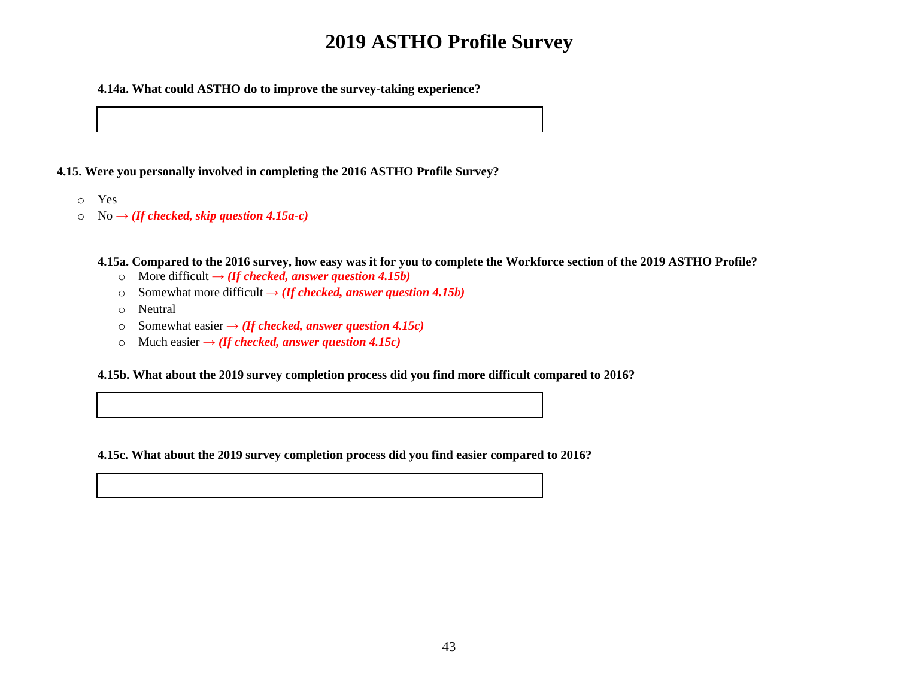**4.14a. What could ASTHO do to improve the survey-taking experience?**

**4.15. Were you personally involved in completing the 2016 ASTHO Profile Survey?**

- o Yes
- o No **→** *(If checked, skip question 4.15a-c)*

**4.15a. Compared to the 2016 survey, how easy was it for you to complete the Workforce section of the 2019 ASTHO Profile?** 

- o More difficult **→** *(If checked, answer question 4.15b)*
- o Somewhat more difficult  $\rightarrow$  *(If checked, answer question 4.15b)*
- o Neutral
- o Somewhat easier **→** *(If checked, answer question 4.15c)*
- $\circ$  Much easier  $\rightarrow$  *(If checked, answer question 4.15c)*

**4.15b. What about the 2019 survey completion process did you find more difficult compared to 2016?**

**4.15c. What about the 2019 survey completion process did you find easier compared to 2016?**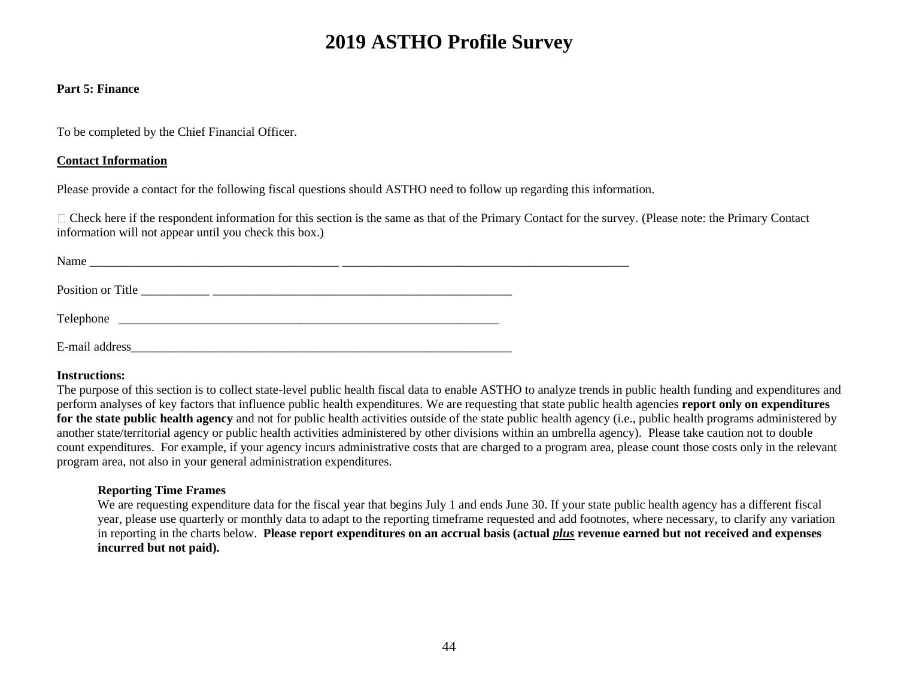#### **Part 5: Finance**

To be completed by the Chief Financial Officer.

#### **Contact Information**

Please provide a contact for the following fiscal questions should ASTHO need to follow up regarding this information.

 $\Box$  Check here if the respondent information for this section is the same as that of the Primary Contact for the survey. (Please note: the Primary Contact information will not appear until you check this box.)

| Name              |  |  |  |
|-------------------|--|--|--|
|                   |  |  |  |
| Position or Title |  |  |  |
|                   |  |  |  |
| Telephone         |  |  |  |
|                   |  |  |  |

E-mail address\_\_\_\_\_\_\_\_\_\_\_\_\_\_\_\_\_\_\_\_\_\_\_\_\_\_\_\_\_\_\_\_\_\_\_\_\_\_\_\_\_\_\_\_\_\_\_\_\_\_\_\_\_\_\_\_\_\_\_\_\_

#### **Instructions:**

The purpose of this section is to collect state-level public health fiscal data to enable ASTHO to analyze trends in public health funding and expenditures and perform analyses of key factors that influence public health expenditures. We are requesting that state public health agencies **report only on expenditures**  for the state public health agency and not for public health activities outside of the state public health agency (i.e., public health programs administered by another state/territorial agency or public health activities administered by other divisions within an umbrella agency). Please take caution not to double count expenditures. For example, if your agency incurs administrative costs that are charged to a program area, please count those costs only in the relevant program area, not also in your general administration expenditures.

#### **Reporting Time Frames**

We are requesting expenditure data for the fiscal year that begins July 1 and ends June 30. If your state public health agency has a different fiscal year, please use quarterly or monthly data to adapt to the reporting timeframe requested and add footnotes, where necessary, to clarify any variation in reporting in the charts below. **Please report expenditures on an accrual basis (actual** *plus* **revenue earned but not received and expenses incurred but not paid).**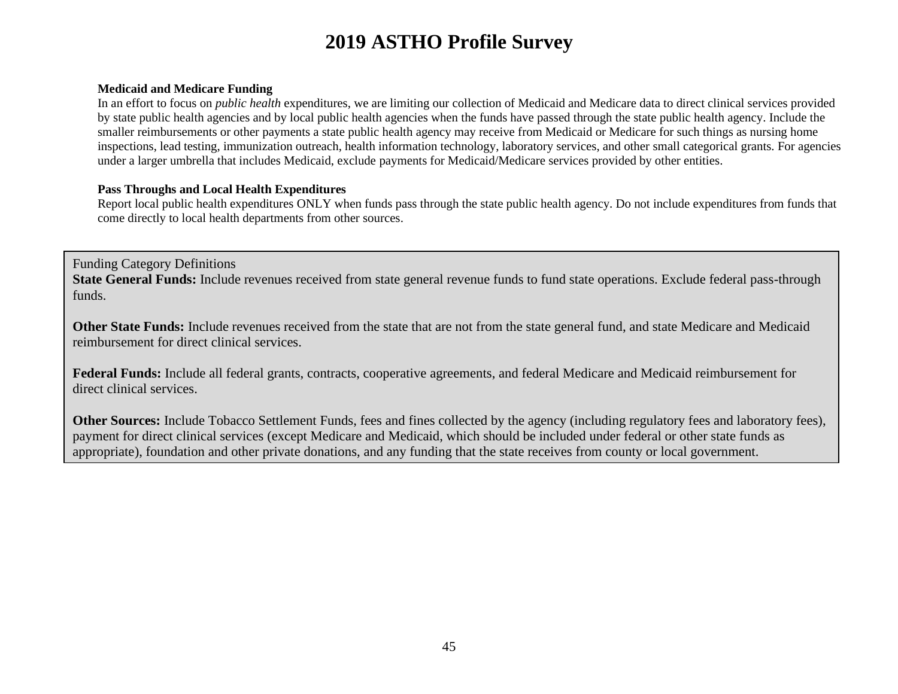#### **Medicaid and Medicare Funding**

In an effort to focus on *public health* expenditures, we are limiting our collection of Medicaid and Medicare data to direct clinical services provided by state public health agencies and by local public health agencies when the funds have passed through the state public health agency. Include the smaller reimbursements or other payments a state public health agency may receive from Medicaid or Medicare for such things as nursing home inspections, lead testing, immunization outreach, health information technology, laboratory services, and other small categorical grants. For agencies under a larger umbrella that includes Medicaid, exclude payments for Medicaid/Medicare services provided by other entities.

#### **Pass Throughs and Local Health Expenditures**

Report local public health expenditures ONLY when funds pass through the state public health agency. Do not include expenditures from funds that come directly to local health departments from other sources.

Funding Category Definitions **State General Funds:** Include revenues received from state general revenue funds to fund state operations. Exclude federal pass-through funds.

**Other State Funds:** Include revenues received from the state that are not from the state general fund, and state Medicare and Medicaid reimbursement for direct clinical services.

**Federal Funds:** Include all federal grants, contracts, cooperative agreements, and federal Medicare and Medicaid reimbursement for direct clinical services.

**Other Sources:** Include Tobacco Settlement Funds, fees and fines collected by the agency (including regulatory fees and laboratory fees), payment for direct clinical services (except Medicare and Medicaid, which should be included under federal or other state funds as appropriate), foundation and other private donations, and any funding that the state receives from county or local government.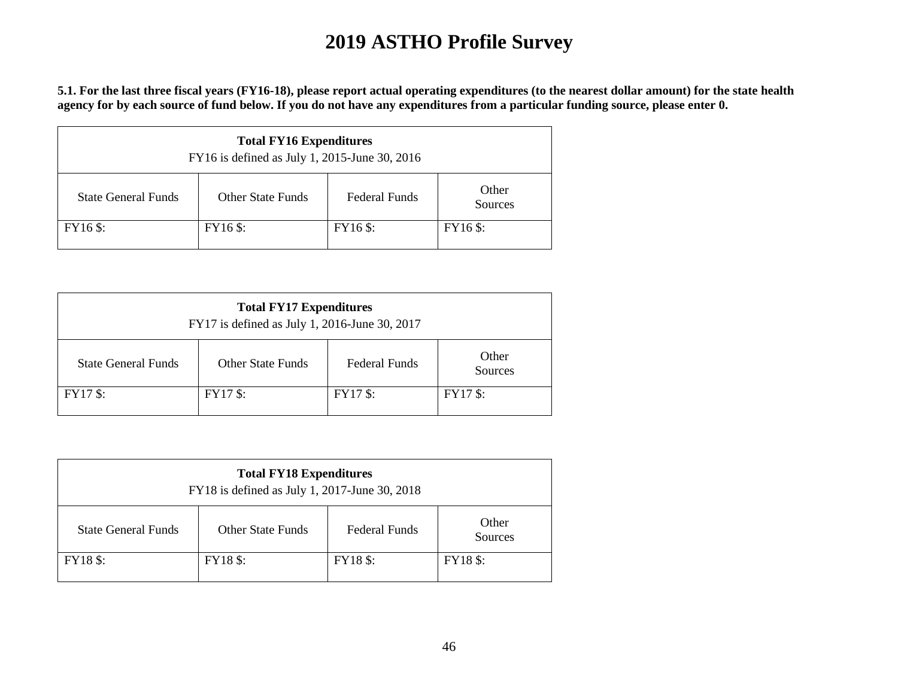**5.1. For the last three fiscal years (FY16-18), please report actual operating expenditures (to the nearest dollar amount) for the state health agency for by each source of fund below. If you do not have any expenditures from a particular funding source, please enter 0.** 

| <b>Total FY16 Expenditures</b><br>FY16 is defined as July 1, 2015-June 30, 2016 |                                                                      |  |  |  |  |  |
|---------------------------------------------------------------------------------|----------------------------------------------------------------------|--|--|--|--|--|
| <b>State General Funds</b>                                                      | Other<br><b>Federal Funds</b><br><b>Other State Funds</b><br>Sources |  |  |  |  |  |
| FY16 \$:<br>FY16 \$:<br>FY16 \$:<br>FY16 \$:                                    |                                                                      |  |  |  |  |  |

| <b>Total FY17 Expenditures</b><br>FY17 is defined as July 1, 2016-June 30, 2017 |                                                                      |  |  |  |  |
|---------------------------------------------------------------------------------|----------------------------------------------------------------------|--|--|--|--|
| <b>State General Funds</b>                                                      | Other<br><b>Federal Funds</b><br><b>Other State Funds</b><br>Sources |  |  |  |  |
| <b>FY17 \$:</b>                                                                 | <b>FY17 \$:</b><br><b>FY17 \$:</b><br><b>FY17 \$:</b>                |  |  |  |  |

| <b>Total FY18 Expenditures</b><br>FY18 is defined as July 1, 2017-June 30, 2018 |                                                                      |  |  |  |  |
|---------------------------------------------------------------------------------|----------------------------------------------------------------------|--|--|--|--|
| <b>State General Funds</b>                                                      | Other<br><b>Federal Funds</b><br><b>Other State Funds</b><br>Sources |  |  |  |  |
| <b>FY18</b> \$:<br><b>FY18</b> \$:<br>FY18 \$:<br><b>FY18</b> \$:               |                                                                      |  |  |  |  |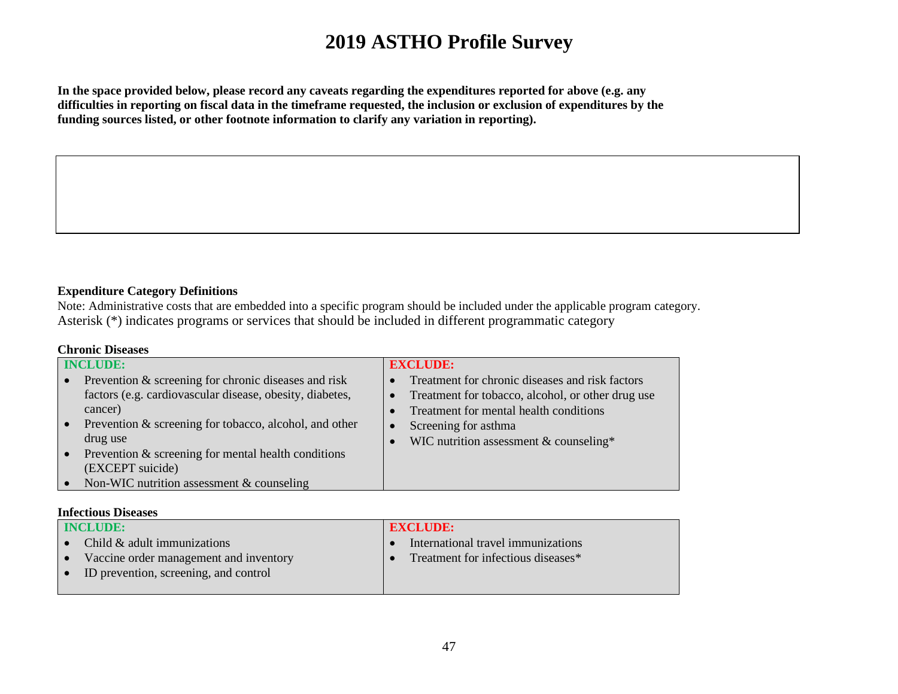**In the space provided below, please record any caveats regarding the expenditures reported for above (e.g. any difficulties in reporting on fiscal data in the timeframe requested, the inclusion or exclusion of expenditures by the funding sources listed, or other footnote information to clarify any variation in reporting).** 

#### **Expenditure Category Definitions**

Note: Administrative costs that are embedded into a specific program should be included under the applicable program category. Asterisk (\*) indicates programs or services that should be included in different programmatic category

#### **Chronic Diseases**

| <b>INCLUDE:</b> |                                                          | <b>EXCLUDE:</b> |                                                   |
|-----------------|----------------------------------------------------------|-----------------|---------------------------------------------------|
|                 | Prevention & screening for chronic diseases and risk     |                 | Treatment for chronic diseases and risk factors   |
|                 | factors (e.g. cardiovascular disease, obesity, diabetes, | $\bullet$       | Treatment for tobacco, alcohol, or other drug use |
|                 | cancer)                                                  |                 | Treatment for mental health conditions            |
|                 | Prevention & screening for tobacco, alcohol, and other   |                 | Screening for asthma                              |
|                 | drug use                                                 |                 | WIC nutrition assessment & counseling*            |
|                 | Prevention & screening for mental health conditions      |                 |                                                   |
|                 | (EXCEPT suicide)                                         |                 |                                                   |
|                 | Non-WIC nutrition assessment & counseling                |                 |                                                   |

#### **Infectious Diseases**

| <b>INCLUDE:</b> |                                        | <b>EXCLUDE:</b>                    |
|-----------------|----------------------------------------|------------------------------------|
|                 | Child & adult immunizations            | International travel immunizations |
| $\bullet$       | Vaccine order management and inventory | Treatment for infectious diseases* |
| $\bullet$       | ID prevention, screening, and control  |                                    |
|                 |                                        |                                    |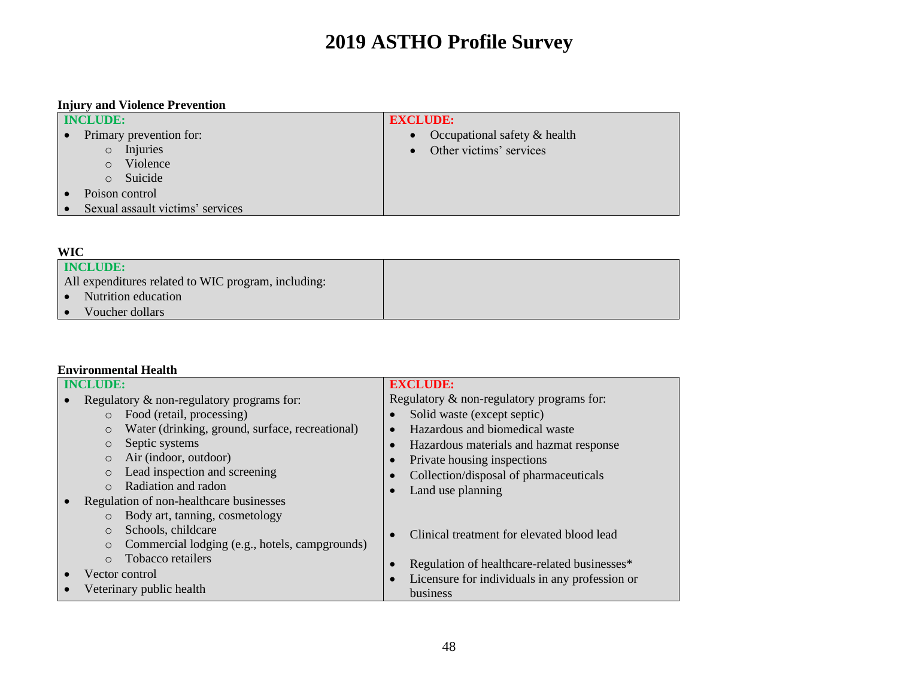### **Injury and Violence Prevention**

| <b>INCLUDE:</b>                  | <b>EXCLUDE:</b>              |
|----------------------------------|------------------------------|
| Primary prevention for:          | Occupational safety & health |
| Injuries<br>$\circ$              | Other victims' services      |
| Violence<br>$\circ$              |                              |
| Suicide<br>$\circ$               |                              |
| Poison control                   |                              |
| Sexual assault victims' services |                              |

#### **WIC**

| .                                                   |  |
|-----------------------------------------------------|--|
| INCLUDE:                                            |  |
| All expenditures related to WIC program, including: |  |
| Nutrition education                                 |  |
| Voucher dollars                                     |  |

#### **Environmental Health**

| <b>INCLUDE:</b> |                                                            | <b>EXCLUDE:</b>                                |  |
|-----------------|------------------------------------------------------------|------------------------------------------------|--|
|                 | Regulatory & non-regulatory programs for:                  | Regulatory & non-regulatory programs for:      |  |
|                 | Food (retail, processing)<br>$\circ$                       | Solid waste (except septic)                    |  |
|                 | Water (drinking, ground, surface, recreational)<br>$\circ$ | Hazardous and biomedical waste<br>$\bullet$    |  |
|                 | Septic systems<br>$\circ$                                  | Hazardous materials and hazmat response        |  |
|                 | Air (indoor, outdoor)<br>$\circ$                           | Private housing inspections                    |  |
|                 | Lead inspection and screening<br>$\circ$                   | Collection/disposal of pharmaceuticals         |  |
|                 | Radiation and radon<br>$\bigcirc$                          | Land use planning                              |  |
|                 | Regulation of non-healthcare businesses                    |                                                |  |
|                 | Body art, tanning, cosmetology<br>$\circ$                  |                                                |  |
|                 | Schools, childcare<br>$\Omega$                             | Clinical treatment for elevated blood lead     |  |
|                 | Commercial lodging (e.g., hotels, campgrounds)<br>$\circ$  |                                                |  |
|                 | Tobacco retailers<br>$\Omega$                              | Regulation of healthcare-related businesses*   |  |
|                 | Vector control                                             | Licensure for individuals in any profession or |  |
|                 | Veterinary public health                                   | business                                       |  |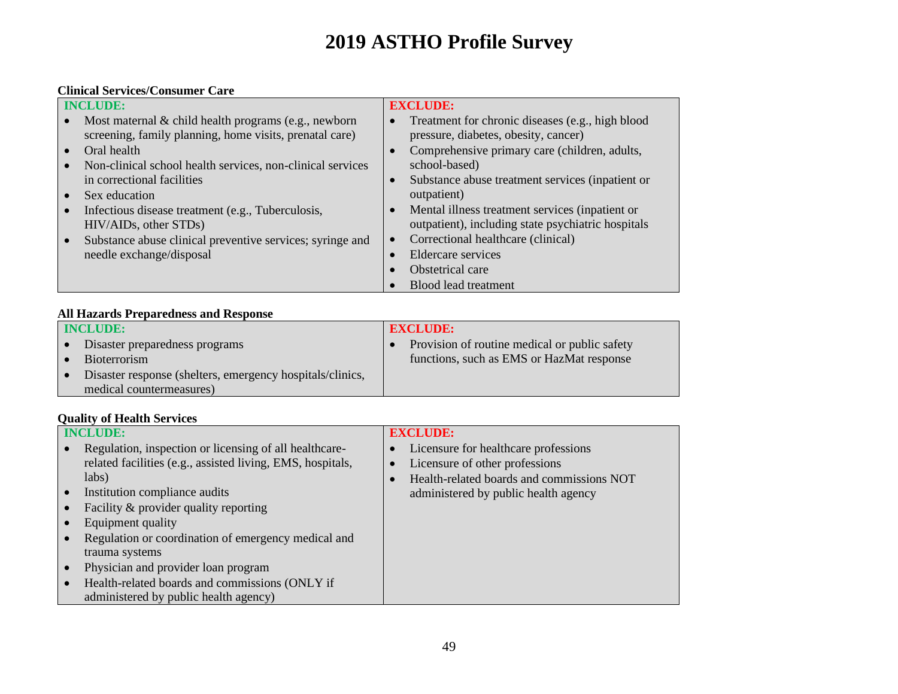#### **Clinical Services/Consumer Care**

| <b>INCLUDE:</b> |                                                            |           | <b>EXCLUDE:</b>                                    |  |
|-----------------|------------------------------------------------------------|-----------|----------------------------------------------------|--|
|                 | Most maternal $\&$ child health programs (e.g., newborn    |           | Treatment for chronic diseases (e.g., high blood   |  |
|                 | screening, family planning, home visits, prenatal care)    |           | pressure, diabetes, obesity, cancer)               |  |
|                 | Oral health                                                |           | Comprehensive primary care (children, adults,      |  |
|                 | Non-clinical school health services, non-clinical services |           | school-based)                                      |  |
|                 | in correctional facilities                                 | $\bullet$ | Substance abuse treatment services (inpatient or   |  |
|                 | Sex education                                              |           | outpatient)                                        |  |
|                 | Infectious disease treatment (e.g., Tuberculosis,          | $\bullet$ | Mental illness treatment services (inpatient or    |  |
|                 | HIV/AIDs, other STDs)                                      |           | outpatient), including state psychiatric hospitals |  |
|                 | Substance abuse clinical preventive services; syringe and  | $\bullet$ | Correctional healthcare (clinical)                 |  |
|                 | needle exchange/disposal                                   |           | <b>Eldercare</b> services                          |  |
|                 |                                                            |           | Obstetrical care                                   |  |
|                 |                                                            |           | Blood lead treatment                               |  |

### **All Hazards Preparedness and Response**

| <b>INCLUDE:</b>                                           | <b>EXCLUDE:</b>                               |
|-----------------------------------------------------------|-----------------------------------------------|
| Disaster preparedness programs                            | Provision of routine medical or public safety |
| <b>Bioterrorism</b>                                       | functions, such as EMS or HazMat response     |
| Disaster response (shelters, emergency hospitals/clinics, |                                               |
| medical countermeasures)                                  |                                               |

#### **Quality of Health Services**

| <b>INCLUDE:</b>                                            | <b>EXCLUDE:</b>                           |
|------------------------------------------------------------|-------------------------------------------|
| Regulation, inspection or licensing of all healthcare-     | Licensure for healthcare professions      |
| related facilities (e.g., assisted living, EMS, hospitals, | Licensure of other professions            |
| labs)                                                      | Health-related boards and commissions NOT |
| Institution compliance audits                              | administered by public health agency      |
| Facility & provider quality reporting                      |                                           |
| Equipment quality                                          |                                           |
| Regulation or coordination of emergency medical and        |                                           |
| trauma systems                                             |                                           |
| Physician and provider loan program                        |                                           |
| Health-related boards and commissions (ONLY if             |                                           |
| administered by public health agency)                      |                                           |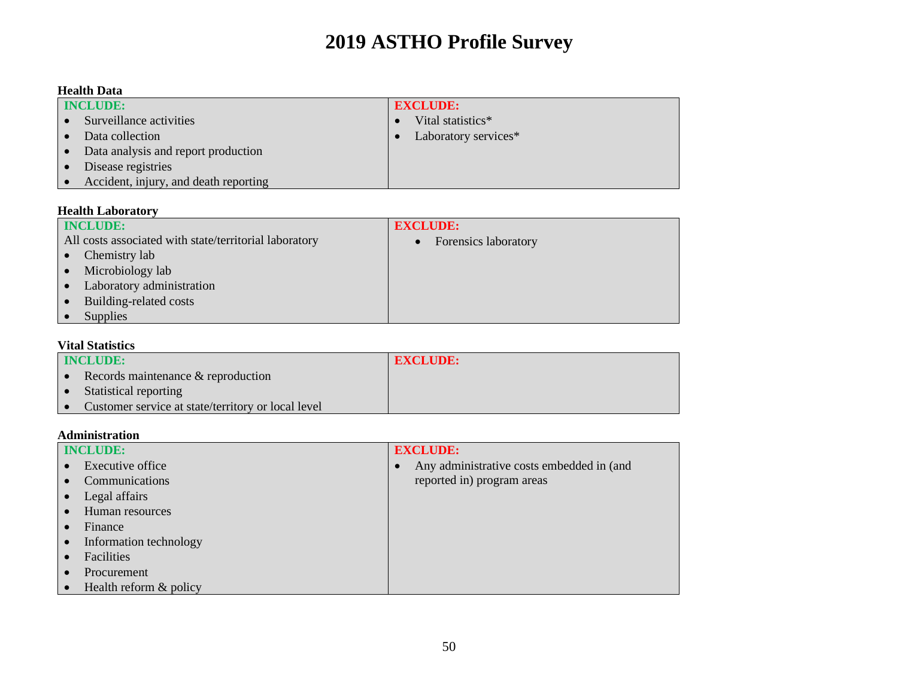#### **Health Data**

| <b>INCLUDE:</b>                       | <b>EXCLUDE:</b>      |  |
|---------------------------------------|----------------------|--|
| Surveillance activities               | Vital statistics*    |  |
| Data collection                       | Laboratory services* |  |
| Data analysis and report production   |                      |  |
| Disease registries                    |                      |  |
| Accident, injury, and death reporting |                      |  |

#### **Health Laboratory**

| <b>INCLUDE:</b>                                        | <b>EXCLUDE:</b>      |
|--------------------------------------------------------|----------------------|
| All costs associated with state/territorial laboratory | Forensics laboratory |
| Chemistry lab                                          |                      |
| Microbiology lab                                       |                      |
| Laboratory administration                              |                      |
| Building-related costs                                 |                      |
| <b>Supplies</b>                                        |                      |

#### **Vital Statistics**

| <b>INCLUDE:</b>                                    | <b>EXCLUDE:</b> |
|----------------------------------------------------|-----------------|
| Records maintenance & reproduction                 |                 |
| Statistical reporting                              |                 |
| Customer service at state/territory or local level |                 |

#### **Administration**

| <b>INCLUDE:</b>          |  | <b>EXCLUDE:</b>                           |  |
|--------------------------|--|-------------------------------------------|--|
| Executive office         |  | Any administrative costs embedded in (and |  |
| Communications           |  | reported in) program areas                |  |
| Legal affairs            |  |                                           |  |
| Human resources          |  |                                           |  |
| Finance                  |  |                                           |  |
| Information technology   |  |                                           |  |
| Facilities               |  |                                           |  |
| Procurement              |  |                                           |  |
| Health reform $&$ policy |  |                                           |  |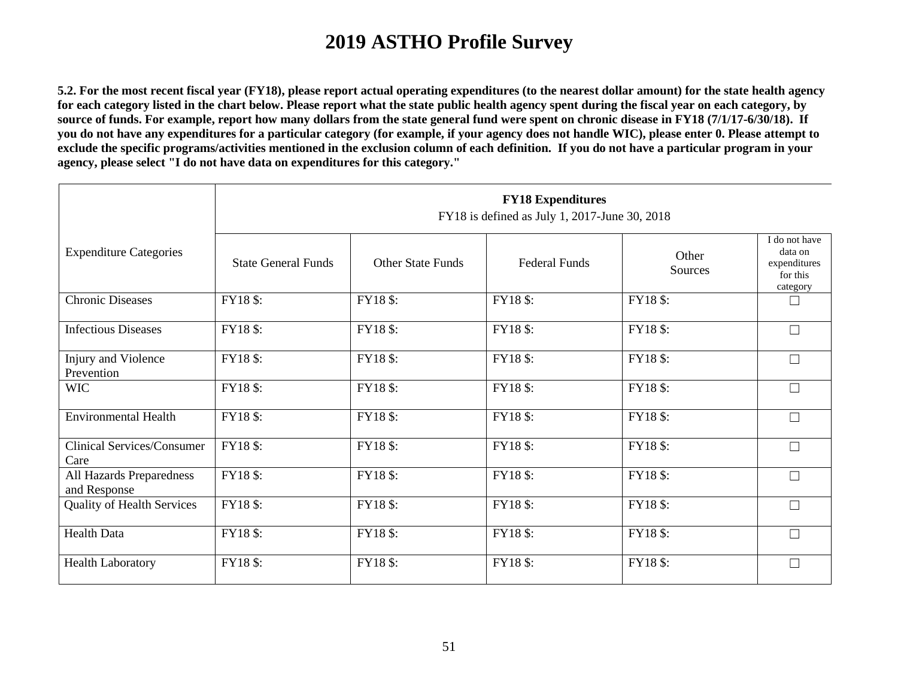**5.2. For the most recent fiscal year (FY18), please report actual operating expenditures (to the nearest dollar amount) for the state health agency for each category listed in the chart below. Please report what the state public health agency spent during the fiscal year on each category, by source of funds. For example, report how many dollars from the state general fund were spent on chronic disease in FY18 (7/1/17-6/30/18). If you do not have any expenditures for a particular category (for example, if your agency does not handle WIC), please enter 0. Please attempt to exclude the specific programs/activities mentioned in the exclusion column of each definition. If you do not have a particular program in your agency, please select "I do not have data on expenditures for this category."**

|                                           | <b>FY18 Expenditures</b><br>FY18 is defined as July 1, 2017-June 30, 2018 |                          |                      |                  |                                                                  |  |  |  |  |
|-------------------------------------------|---------------------------------------------------------------------------|--------------------------|----------------------|------------------|------------------------------------------------------------------|--|--|--|--|
| <b>Expenditure Categories</b>             | <b>State General Funds</b>                                                | <b>Other State Funds</b> | <b>Federal Funds</b> | Other<br>Sources | I do not have<br>data on<br>expenditures<br>for this<br>category |  |  |  |  |
| <b>Chronic Diseases</b>                   | FY18 \$:                                                                  | FY18 \$:                 | FY18 \$:             | FY18 \$:         | $\Box$                                                           |  |  |  |  |
| <b>Infectious Diseases</b>                | FY18 \$:                                                                  | FY18 \$:                 | FY18 \$:             | FY18 \$:         | $\Box$                                                           |  |  |  |  |
| Injury and Violence<br>Prevention         | FY18 \$:                                                                  | FY18 \$:                 | FY18 \$:             | FY18 \$:         | $\Box$                                                           |  |  |  |  |
| <b>WIC</b>                                | FY18\$:                                                                   | FY18 \$:                 | FY18 \$:             | FY18 \$:         | $\Box$                                                           |  |  |  |  |
| <b>Environmental Health</b>               | FY18 \$:                                                                  | FY18 \$:                 | FY18 \$:             | FY18 \$:         | $\Box$                                                           |  |  |  |  |
| <b>Clinical Services/Consumer</b><br>Care | FY18\$:                                                                   | FY18 \$:                 | FY18 \$:             | FY18 \$:         | $\Box$                                                           |  |  |  |  |
| All Hazards Preparedness<br>and Response  | FY18 \$:                                                                  | FY18 \$:                 | FY18 \$:             | FY18 \$:         | $\Box$                                                           |  |  |  |  |
| <b>Quality of Health Services</b>         | FY18\$:                                                                   | FY18 \$:                 | FY18 \$:             | FY18 \$:         | $\Box$                                                           |  |  |  |  |
| <b>Health Data</b>                        | FY18 \$:                                                                  | FY18 \$:                 | FY18\$:              | FY18\$:          | $\Box$                                                           |  |  |  |  |
| <b>Health Laboratory</b>                  | FY18 \$:                                                                  | FY18 \$:                 | FY18 \$:             | FY18\$:          | $\Box$                                                           |  |  |  |  |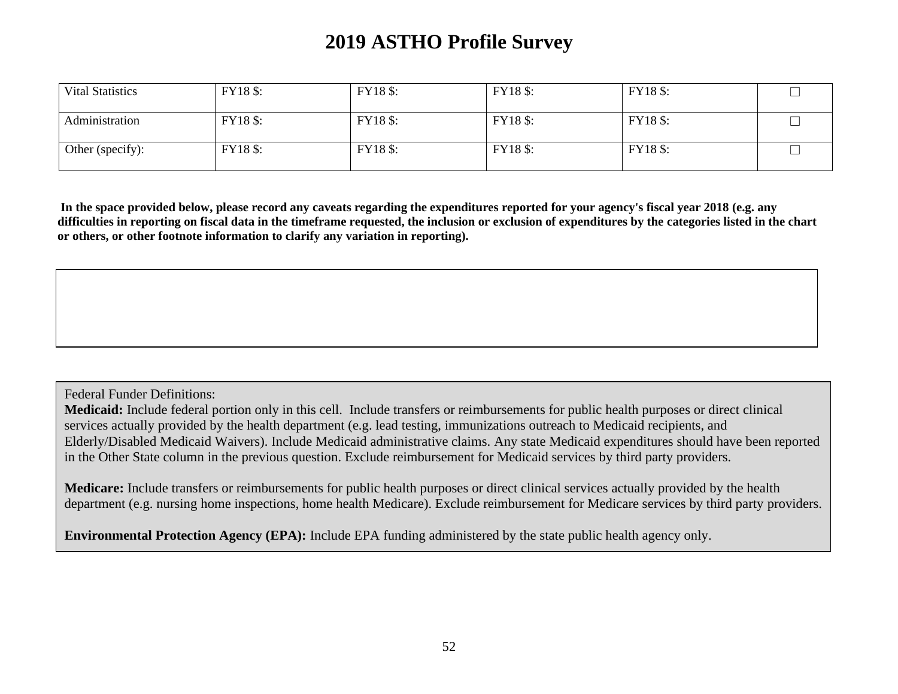| <b>Vital Statistics</b> | <b>FY18</b> \$: | <b>FY18</b> \$: | FY18 \$: | FY18 \$: |  |
|-------------------------|-----------------|-----------------|----------|----------|--|
| Administration          | <b>FY18</b> \$: | FY18 \$:        | FY18 \$: | FY18 \$: |  |
| Other (specify):        | <b>FY18</b> \$: | FY18 \$:        | FY18 \$: | FY18 \$: |  |

**In the space provided below, please record any caveats regarding the expenditures reported for your agency's fiscal year 2018 (e.g. any difficulties in reporting on fiscal data in the timeframe requested, the inclusion or exclusion of expenditures by the categories listed in the chart or others, or other footnote information to clarify any variation in reporting).** 

Federal Funder Definitions:

**Medicaid:** Include federal portion only in this cell. Include transfers or reimbursements for public health purposes or direct clinical services actually provided by the health department (e.g. lead testing, immunizations outreach to Medicaid recipients, and Elderly/Disabled Medicaid Waivers). Include Medicaid administrative claims. Any state Medicaid expenditures should have been reported in the Other State column in the previous question. Exclude reimbursement for Medicaid services by third party providers.

**Medicare:** Include transfers or reimbursements for public health purposes or direct clinical services actually provided by the health department (e.g. nursing home inspections, home health Medicare). Exclude reimbursement for Medicare services by third party providers.

**Environmental Protection Agency (EPA):** Include EPA funding administered by the state public health agency only.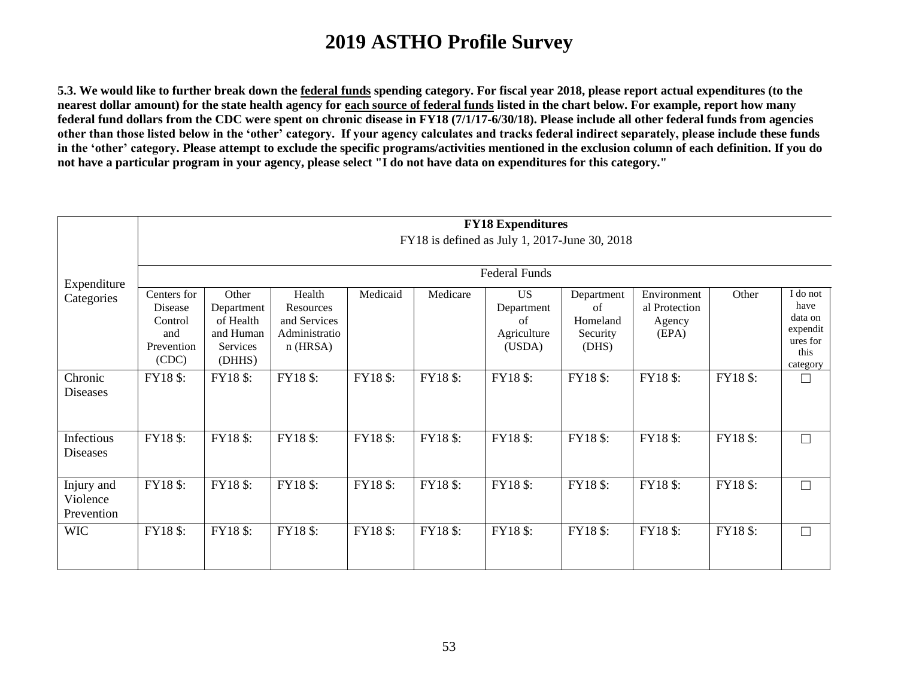**5.3. We would like to further break down the federal funds spending category. For fiscal year 2018, please report actual expenditures (to the nearest dollar amount) for the state health agency for each source of federal funds listed in the chart below. For example, report how many federal fund dollars from the CDC were spent on chronic disease in FY18 (7/1/17-6/30/18). Please include all other federal funds from agencies other than those listed below in the 'other' category. If your agency calculates and tracks federal indirect separately, please include these funds in the 'other' category. Please attempt to exclude the specific programs/activities mentioned in the exclusion column of each definition. If you do not have a particular program in your agency, please select "I do not have data on expenditures for this category."**

|                                      | <b>FY18 Expenditures</b><br>FY18 is defined as July 1, 2017-June 30, 2018 |                                                                     |                                                                    |          |          |                                                                                |                                                   |                                                 |          |                                                                         |
|--------------------------------------|---------------------------------------------------------------------------|---------------------------------------------------------------------|--------------------------------------------------------------------|----------|----------|--------------------------------------------------------------------------------|---------------------------------------------------|-------------------------------------------------|----------|-------------------------------------------------------------------------|
| Expenditure<br>Categories            | Centers for<br>Disease<br>Control<br>and<br>Prevention<br>(CDC)           | Other<br>Department<br>of Health<br>and Human<br>Services<br>(DHHS) | Health<br>Resources<br>and Services<br>Administratio<br>$n$ (HRSA) | Medicaid | Medicare | <b>Federal Funds</b><br><b>US</b><br>Department<br>of<br>Agriculture<br>(USDA) | Department<br>of<br>Homeland<br>Security<br>(DHS) | Environment<br>al Protection<br>Agency<br>(EPA) | Other    | I do not<br>have<br>data on<br>expendit<br>ures for<br>this<br>category |
| Chronic<br>Diseases                  | FY18 \$:                                                                  | FY18 \$:                                                            | FY18 \$:                                                           | FY18 \$: | FY18 \$: | FY18\$:                                                                        | FY18 \$:                                          | FY18\$:                                         | FY18 \$: | П                                                                       |
| Infectious<br><b>Diseases</b>        | FY18 \$:                                                                  | FY18 \$:                                                            | FY18 \$:                                                           | FY18 \$: | FY18 \$: | FY18 \$:                                                                       | <b>FY18</b> \$:                                   | FY18 \$:                                        | FY18 \$: | □                                                                       |
| Injury and<br>Violence<br>Prevention | FY18 \$:                                                                  | FY18 \$:                                                            | FY18 \$:                                                           | FY18 \$: | FY18 \$: | FY18 \$:                                                                       | FY18 \$:                                          | FY18 \$:                                        | FY18 \$: | П                                                                       |
| <b>WIC</b>                           | FY18 \$:                                                                  | FY18 \$:                                                            | FY18 \$:                                                           | FY18 \$: | FY18 \$: | FY18 \$:                                                                       | <b>FY18</b> \$:                                   | FY18 \$:                                        | FY18 \$: | П                                                                       |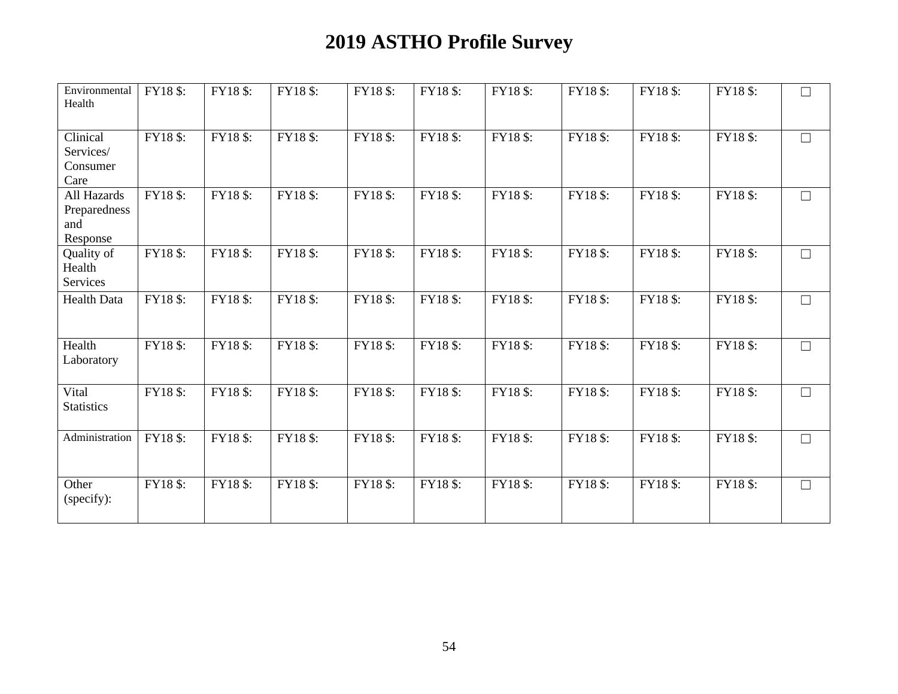| Environmental<br>Health                        | FY18 \$: | FY18\$: | FY18 \$: | FY18 \$: | FY18 \$: | FY18\$:  | FY18 \$: | FY18 \$: | FY18 \$: | $\Box$ |
|------------------------------------------------|----------|---------|----------|----------|----------|----------|----------|----------|----------|--------|
| Clinical<br>Services/<br>Consumer<br>Care      | FY18\$:  | FY18\$: | FY18 \$: | FY18 \$: | FY18\$:  | FY18 \$: | FY18 \$: | FY18 \$: | FY18 \$: | $\Box$ |
| All Hazards<br>Preparedness<br>and<br>Response | FY18 \$: | FY18\$: | FY18 \$: | FY18 \$: | FY18 \$: | FY18 \$: | FY18 \$: | FY18 \$: | FY18 \$: | $\Box$ |
| Quality of<br>Health<br>Services               | FY18\$:  | FY18\$: | FY18 \$: | FY18 \$: | FY18\$:  | FY18 \$: | FY18 \$: | FY18 \$: | FY18 \$: | $\Box$ |
| Health Data                                    | FY18 \$: | FY18\$: | FY18 \$: | FY18 \$: | FY18\$:  | FY18 \$: | FY18\$:  | FY18 \$: | FY18\$:  | $\Box$ |
| Health<br>Laboratory                           | FY18\$:  | FY18\$: | FY18\$:  | FY18 \$: | FY18\$:  | FY18 \$: | FY18\$:  | FY18 \$: | FY18 \$: | $\Box$ |
| Vital<br><b>Statistics</b>                     | FY18 \$: | FY18\$: | FY18 \$: | FY18 \$: | FY18\$:  | FY18 \$: | FY18 \$: | FY18 \$: | FY18 \$: | $\Box$ |
| Administration                                 | FY18\$:  | FY18\$: | FY18 \$: | FY18 \$: | FY18 \$: | FY18 \$: | FY18 \$: | FY18 \$: | FY18 \$: | $\Box$ |
| Other<br>(specify):                            | FY18 \$: | FY18\$: | FY18 \$: | FY18 \$: | FY18\$:  | FY18 \$: | FY18\$:  | FY18\$:  | FY18 \$: | $\Box$ |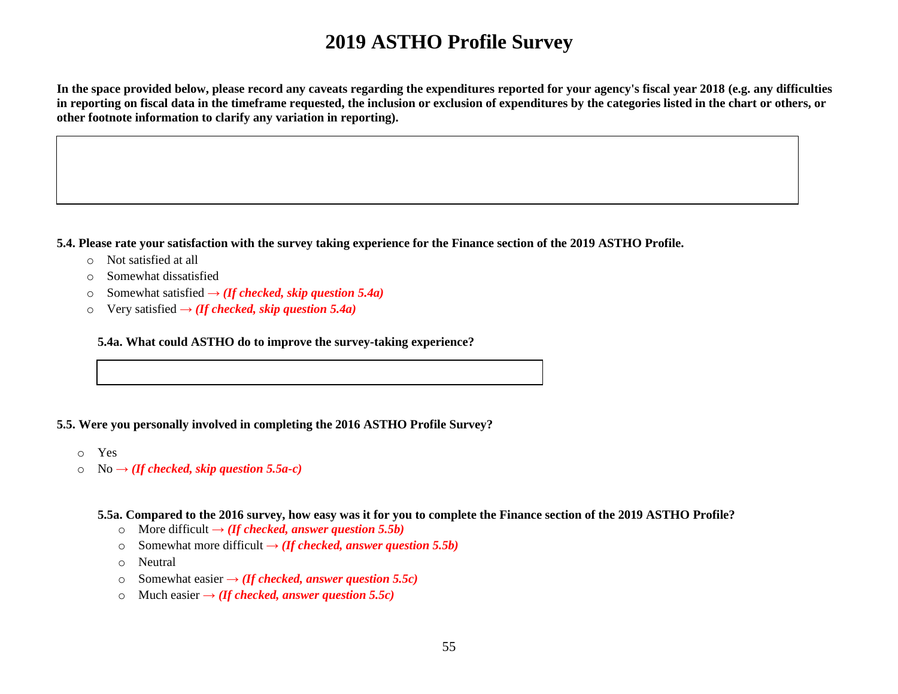**In the space provided below, please record any caveats regarding the expenditures reported for your agency's fiscal year 2018 (e.g. any difficulties in reporting on fiscal data in the timeframe requested, the inclusion or exclusion of expenditures by the categories listed in the chart or others, or other footnote information to clarify any variation in reporting).** 

**5.4. Please rate your satisfaction with the survey taking experience for the Finance section of the 2019 ASTHO Profile.** 

- o Not satisfied at all
- o Somewhat dissatisfied
- o Somewhat satisfied **→** *(If checked, skip question 5.4a)*
- o Very satisfied **→** *(If checked, skip question 5.4a)*

**5.4a. What could ASTHO do to improve the survey-taking experience?**

#### **5.5. Were you personally involved in completing the 2016 ASTHO Profile Survey?**

- o Yes
- o No **→** *(If checked, skip question 5.5a-c)*

**5.5a. Compared to the 2016 survey, how easy was it for you to complete the Finance section of the 2019 ASTHO Profile?** 

- o More difficult **→** *(If checked, answer question 5.5b)*
- o Somewhat more difficult **→** *(If checked, answer question 5.5b)*
- o Neutral
- o Somewhat easier **→** *(If checked, answer question 5.5c)*
- o Much easier  $\rightarrow$  *(If checked, answer question 5.5c)*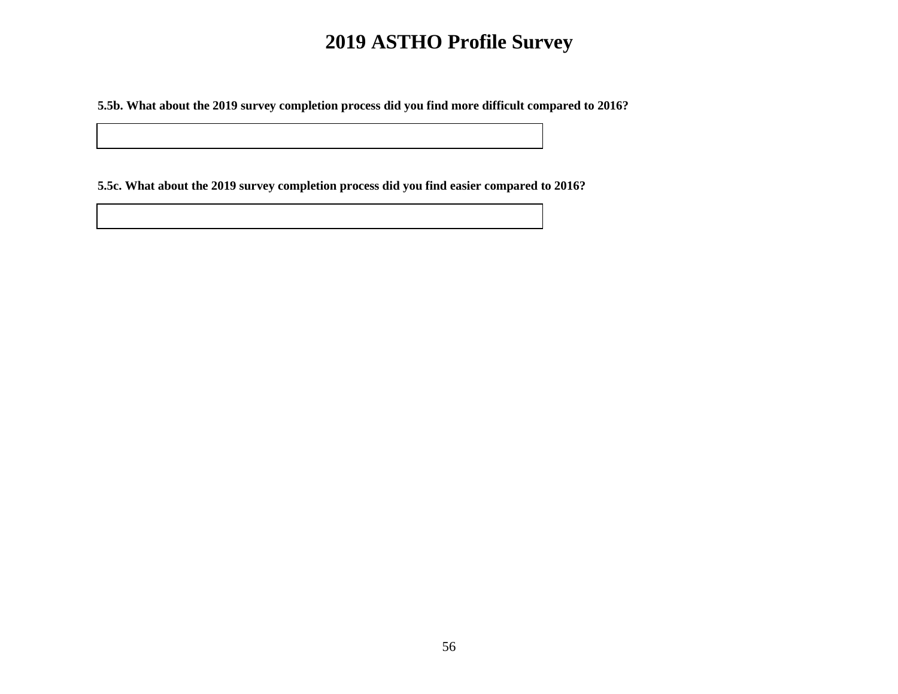**5.5b. What about the 2019 survey completion process did you find more difficult compared to 2016?**

**5.5c. What about the 2019 survey completion process did you find easier compared to 2016?**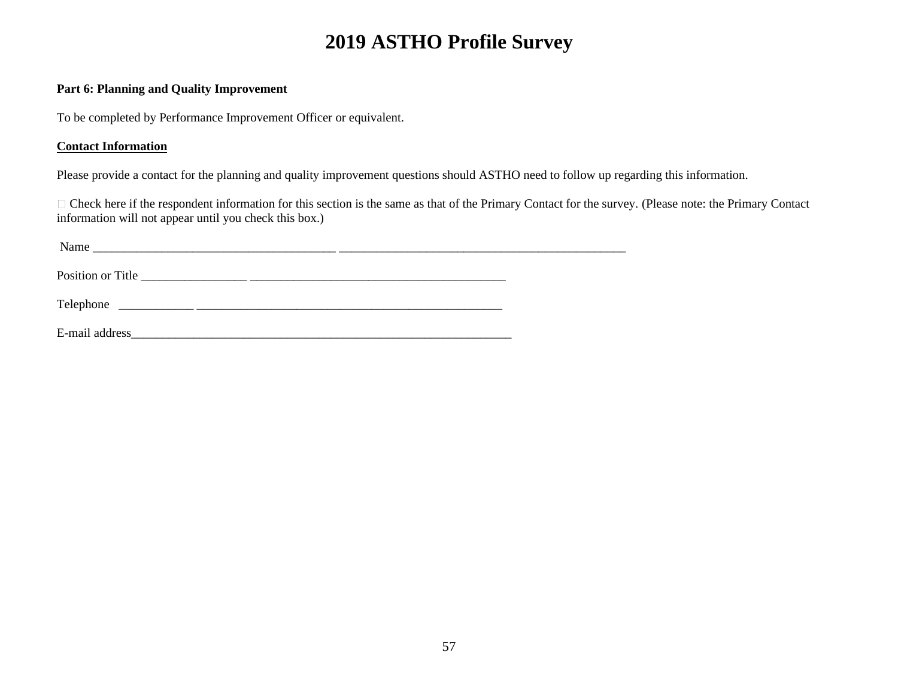#### **Part 6: Planning and Quality Improvement**

To be completed by Performance Improvement Officer or equivalent.

### **Contact Information**

Please provide a contact for the planning and quality improvement questions should ASTHO need to follow up regarding this information.

Check here if the respondent information for this section is the same as that of the Primary Contact for the survey. (Please note: the Primary Contact information will not appear until you check this box.)

| Name              |  |  |  |
|-------------------|--|--|--|
|                   |  |  |  |
| Position or Title |  |  |  |
|                   |  |  |  |
|                   |  |  |  |
| E-mail address    |  |  |  |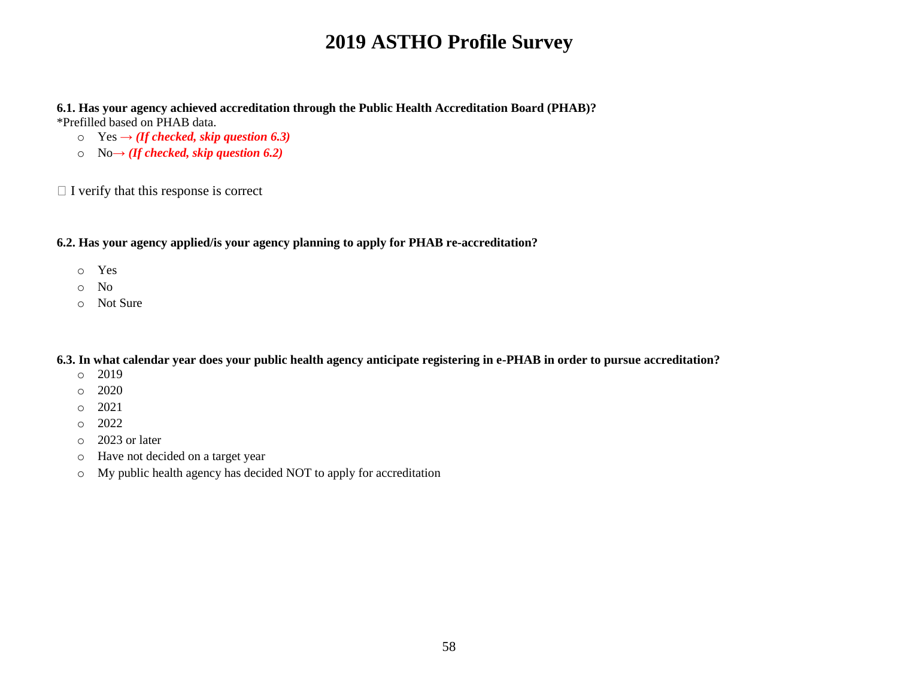**6.1. Has your agency achieved accreditation through the Public Health Accreditation Board (PHAB)?** \*Prefilled based on PHAB data.

- $\circ$  Yes  $\rightarrow$  *(If checked, skip question 6.3)*
- o No**→** *(If checked, skip question 6.2)*

 $\Box$  I verify that this response is correct

#### **6.2. Has your agency applied/is your agency planning to apply for PHAB re-accreditation?**

- o Yes
- o No
- o Not Sure

**6.3. In what calendar year does your public health agency anticipate registering in e-PHAB in order to pursue accreditation?** 

- o 2019
- o 2020
- o 2021
- $O = 2022$
- o 2023 or later
- o Have not decided on a target year
- o My public health agency has decided NOT to apply for accreditation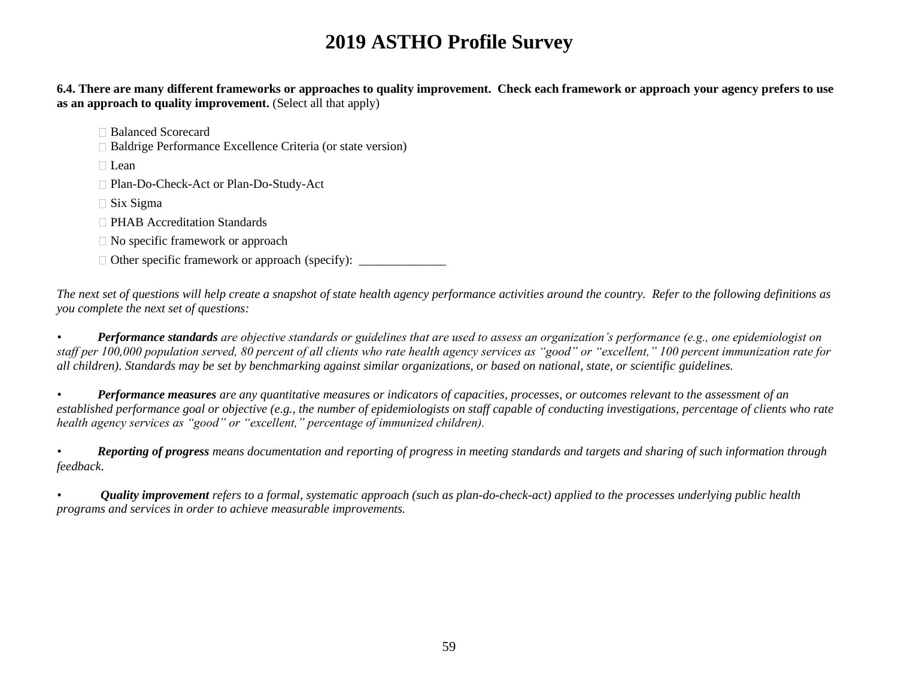**6.4. There are many different frameworks or approaches to quality improvement. Check each framework or approach your agency prefers to use as an approach to quality improvement.** (Select all that apply)

Balanced Scorecard

Baldrige Performance Excellence Criteria (or state version)

 $\Box$  Lean

□ Plan-Do-Check-Act or Plan-Do-Study-Act

 $\Box$  Six Sigma

□ PHAB Accreditation Standards

 $\Box$  No specific framework or approach

 $\Box$  Other specific framework or approach (specify):

*The next set of questions will help create a snapshot of state health agency performance activities around the country. Refer to the following definitions as you complete the next set of questions:*

*• Performance standards are objective standards or guidelines that are used to assess an organization's performance (e.g., one epidemiologist on staff per 100,000 population served, 80 percent of all clients who rate health agency services as "good" or "excellent," 100 percent immunization rate for all children). Standards may be set by benchmarking against similar organizations, or based on national, state, or scientific guidelines.*

*• Performance measures are any quantitative measures or indicators of capacities, processes, or outcomes relevant to the assessment of an established performance goal or objective (e.g., the number of epidemiologists on staff capable of conducting investigations, percentage of clients who rate health agency services as "good" or "excellent," percentage of immunized children).*

*• Reporting of progress means documentation and reporting of progress in meeting standards and targets and sharing of such information through feedback.*

*• Quality improvement refers to a formal, systematic approach (such as plan-do-check-act) applied to the processes underlying public health programs and services in order to achieve measurable improvements.*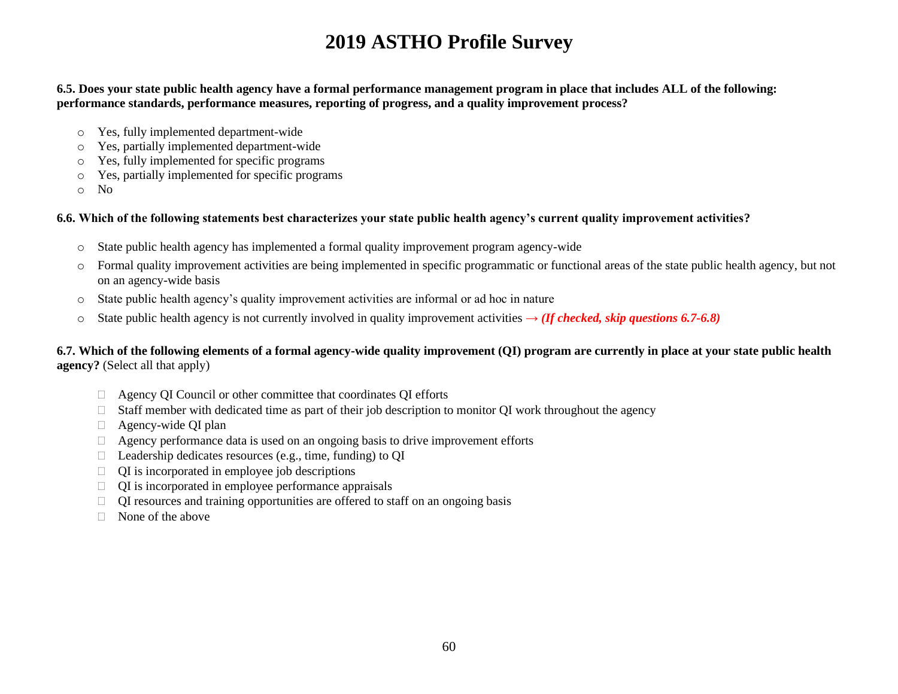**6.5. Does your state public health agency have a formal performance management program in place that includes ALL of the following: performance standards, performance measures, reporting of progress, and a quality improvement process?** 

- o Yes, fully implemented department-wide
- o Yes, partially implemented department-wide
- o Yes, fully implemented for specific programs
- o Yes, partially implemented for specific programs
- o No

#### **6.6. Which of the following statements best characterizes your state public health agency's current quality improvement activities?**

- o State public health agency has implemented a formal quality improvement program agency-wide
- $\circ$  Formal quality improvement activities are being implemented in specific programmatic or functional areas of the state public health agency, but not on an agency-wide basis
- o State public health agency's quality improvement activities are informal or ad hoc in nature
- o State public health agency is not currently involved in quality improvement activities **→** *(If checked, skip questions 6.7-6.8)*

#### **6.7. Which of the following elements of a formal agency-wide quality improvement (QI) program are currently in place at your state public health agency?** (Select all that apply)

- Agency QI Council or other committee that coordinates QI efforts
- $\Box$  Staff member with dedicated time as part of their job description to monitor OI work throughout the agency
- □ Agency-wide QI plan
- $\Box$  Agency performance data is used on an ongoing basis to drive improvement efforts
- $\Box$  Leadership dedicates resources (e.g., time, funding) to QI
- $\Box$  QI is incorporated in employee job descriptions
- $\Box$  QI is incorporated in employee performance appraisals
- $\Box$  QI resources and training opportunities are offered to staff on an ongoing basis
- $\Box$  None of the above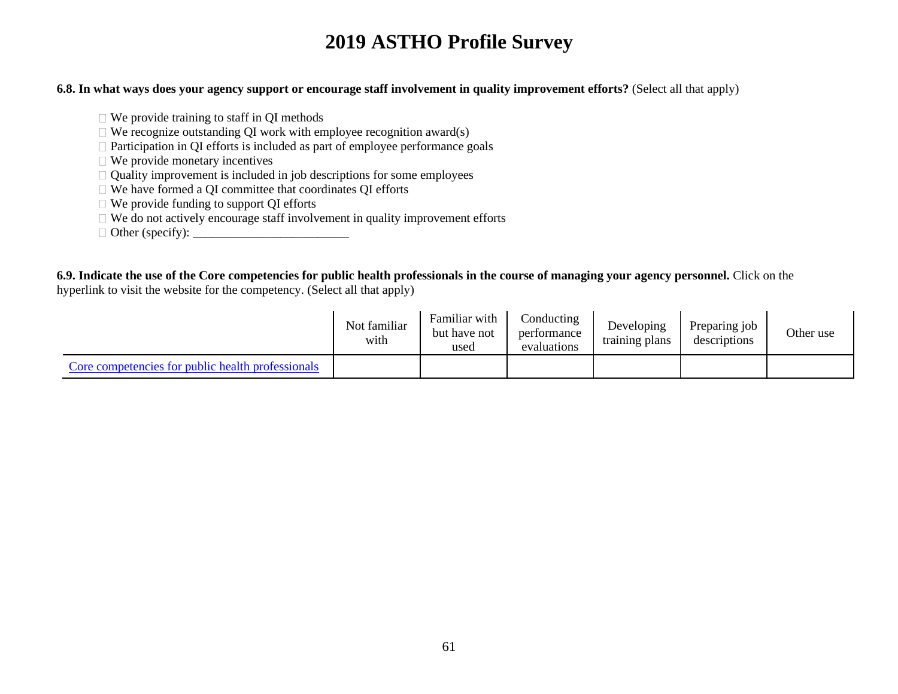#### **6.8. In what ways does your agency support or encourage staff involvement in quality improvement efforts?** (Select all that apply)

- $\Box$  We provide training to staff in OI methods
- $\Box$  We recognize outstanding QI work with employee recognition award(s)
- $\Box$  Participation in QI efforts is included as part of employee performance goals
- $\Box$  We provide monetary incentives
- $\Box$  Quality improvement is included in job descriptions for some employees
- □ We have formed a QI committee that coordinates QI efforts
- We provide funding to support QI efforts
- $\Box$  We do not actively encourage staff involvement in quality improvement efforts
- Other (specify): \_\_\_\_\_\_\_\_\_\_\_\_\_\_\_\_\_\_\_\_\_\_\_\_\_

**6.9. Indicate the use of the Core competencies for public health professionals in the course of managing your agency personnel.** Click on the hyperlink to visit the website for the competency. (Select all that apply)

|                                                   | Not familiar<br>with | Familiar with<br>but have not<br>used | Conducting<br>performance<br>evaluations | Developing<br>training plans | Preparing job<br>descriptions | Other use |
|---------------------------------------------------|----------------------|---------------------------------------|------------------------------------------|------------------------------|-------------------------------|-----------|
| Core competencies for public health professionals |                      |                                       |                                          |                              |                               |           |